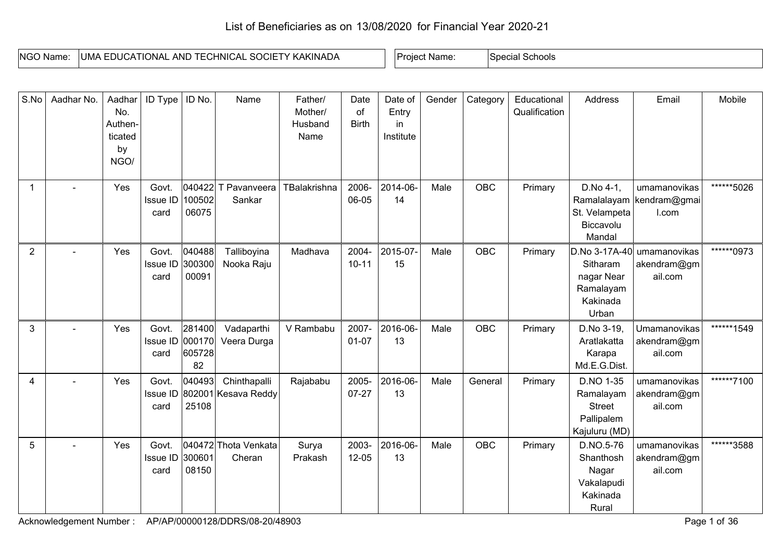## List of Beneficiaries as on 13/08/2020 for Financial Year 2020-21

| - INGC<br>Name | UMA<br><b>KAKINADA</b><br>:HNIC<br>AND<br><b>TIONAL</b><br>∴∆ ⊟∩<br>TEG<br>וורו.<br>∴AI<br>``<br>⇔l⊟ | Name<br>roleci | schools<br>snec<br>. . |
|----------------|------------------------------------------------------------------------------------------------------|----------------|------------------------|

| S.No           | Aadhar No. | Aadhar<br>No.<br>Authen-<br>ticated<br>by<br>NGO/ | ID Type                   | ID No.                           | Name                                | Father/<br>Mother/<br>Husband<br>Name | Date<br>of<br><b>Birth</b> | Date of<br>Entry<br>in<br>Institute | Gender | Category   | Educational<br>Qualification | Address                                                                   | Email                                             | Mobile     |
|----------------|------------|---------------------------------------------------|---------------------------|----------------------------------|-------------------------------------|---------------------------------------|----------------------------|-------------------------------------|--------|------------|------------------------------|---------------------------------------------------------------------------|---------------------------------------------------|------------|
| $\overline{1}$ |            | Yes                                               | Govt.<br>Issue ID<br>card | 040422<br>100502<br>06075        | T Pavanveera<br>Sankar              | TBalakrishna                          | 2006-<br>06-05             | 2014-06-<br>14                      | Male   | OBC        | Primary                      | D.No 4-1,<br>St. Velampeta<br>Biccavolu<br>Mandal                         | umamanovikas<br>Ramalalayam kendram@gmai<br>I.com | ******5026 |
| $\overline{2}$ |            | Yes                                               | Govt.<br>Issue ID<br>card | 040488<br>300300<br>00091        | Talliboyina<br>Nooka Raju           | Madhava                               | 2004-<br>$10 - 11$         | 2015-07<br>15                       | Male   | <b>OBC</b> | Primary                      | D.No 3-17A-40<br>Sitharam<br>nagar Near<br>Ramalayam<br>Kakinada<br>Urban | umamanovikas<br>akendram@gm<br>ail.com            | ******0973 |
| 3              |            | Yes                                               | Govt.<br>Issue ID<br>card | 281400<br>000170<br>605728<br>82 | Vadaparthi<br>Veera Durga           | V Rambabu                             | 2007-<br>$01 - 07$         | 2016-06-<br>13                      | Male   | <b>OBC</b> | Primary                      | D.No 3-19,<br>Aratlakatta<br>Karapa<br>Md.E.G.Dist.                       | Umamanovikas<br>akendram@gm<br>ail.com            | ******1549 |
| $\overline{4}$ |            | Yes                                               | Govt.<br>Issue ID<br>card | 040493<br>25108                  | Chinthapalli<br>802001 Kesava Reddy | Rajababu                              | 2005-<br>$07 - 27$         | 2016-06-<br>13                      | Male   | General    | Primary                      | D.NO 1-35<br>Ramalayam<br><b>Street</b><br>Pallipalem<br>Kajuluru (MD)    | umamanovikas<br>akendram@gm<br>ail.com            | ******7100 |
| 5              |            | Yes                                               | Govt.<br>Issue ID<br>card | 300601<br>08150                  | 040472 Thota Venkata<br>Cheran      | Surya<br>Prakash                      | 2003-<br>$12 - 05$         | 2016-06-<br>13                      | Male   | OBC        | Primary                      | D.NO.5-76<br>Shanthosh<br>Nagar<br>Vakalapudi<br>Kakinada<br>Rural        | umamanovikas<br>akendram@gm<br>ail.com            | ******3588 |

Acknowledgement Number : AP/AP/00000128/DDRS/08-20/48903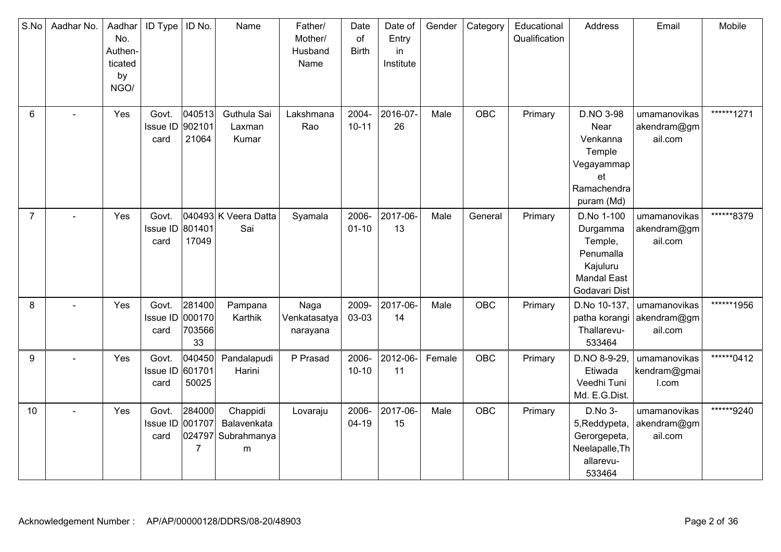| S.No           | Aadhar No.     | Aadhar<br>No.<br>Authen-<br>ticated<br>by<br>NGO/ | ID Type                          | ID No.                           | Name                                               | Father/<br>Mother/<br>Husband<br>Name | Date<br>of<br><b>Birth</b> | Date of<br>Entry<br>in<br>Institute | Gender | Category   | Educational<br>Qualification | Address                                                                                           | Email                                  | Mobile     |
|----------------|----------------|---------------------------------------------------|----------------------------------|----------------------------------|----------------------------------------------------|---------------------------------------|----------------------------|-------------------------------------|--------|------------|------------------------------|---------------------------------------------------------------------------------------------------|----------------------------------------|------------|
| 6              | $\overline{a}$ | Yes                                               | Govt.<br>Issue ID<br>card        | 040513<br>902101<br>21064        | Guthula Sai<br>Laxman<br>Kumar                     | Lakshmana<br>Rao                      | 2004-<br>$10 - 11$         | 2016-07-<br>26                      | Male   | <b>OBC</b> | Primary                      | D.NO 3-98<br>Near<br>Venkanna<br>Temple<br>Vegayammap<br>et<br>Ramachendra<br>puram (Md)          | umamanovikas<br>akendram@gm<br>ail.com | ******1271 |
| $\overline{7}$ |                | Yes                                               | Govt.<br>Issue ID 801401<br>card | 17049                            | 040493 K Veera Datta<br>Sai                        | Syamala                               | 2006-<br>$01 - 10$         | 2017-06-<br>13                      | Male   | General    | Primary                      | D.No 1-100<br>Durgamma<br>Temple,<br>Penumalla<br>Kajuluru<br><b>Mandal East</b><br>Godavari Dist | umamanovikas<br>akendram@gm<br>ail.com | ******8379 |
| 8              | $\blacksquare$ | Yes                                               | Govt.<br>Issue ID<br>card        | 281400<br>000170<br>703566<br>33 | Pampana<br>Karthik                                 | Naga<br>Venkatasatya<br>narayana      | 2009-<br>03-03             | 2017-06-<br>14                      | Male   | OBC        | Primary                      | D.No 10-137,<br>patha korangi<br>Thallarevu-<br>533464                                            | umamanovikas<br>akendram@gm<br>ail.com | ******1956 |
| 9              |                | Yes                                               | Govt.<br>Issue ID 601701<br>card | 040450<br>50025                  | Pandalapudi<br>Harini                              | P Prasad                              | 2006-<br>$10 - 10$         | 2012-06-<br>11                      | Female | <b>OBC</b> | Primary                      | D.NO 8-9-29<br>Etiwada<br>Veedhi Tuni<br>Md. E.G.Dist.                                            | umamanovikas<br>kendram@gmai<br>I.com  | ******0412 |
| 10             |                | Yes                                               | Govt.<br>Issue ID<br>card        | 284000<br>001707<br>7            | Chappidi<br>Balavenkata<br>024797 Subrahmanya<br>m | Lovaraju                              | 2006-<br>$04-19$           | 2017-06-<br>15                      | Male   | OBC        | Primary                      | D.No 3-<br>5, Reddypeta,<br>Gerorgepeta,<br>Neelapalle, Th<br>allarevu-<br>533464                 | umamanovikas<br>akendram@gm<br>ail.com | ******9240 |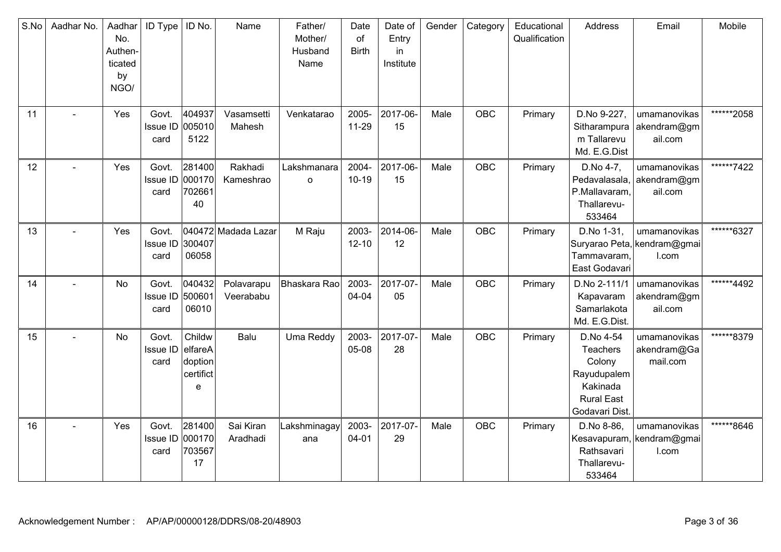| S.No | Aadhar No.     | Aadhar<br>No.<br>Authen-<br>ticated<br>by<br>NGO/ | ID Type                          | ID No.                                         | Name                    | Father/<br>Mother/<br>Husband<br>Name | Date<br>of<br><b>Birth</b> | Date of<br>Entry<br>in<br>Institute | Gender | Category   | Educational<br>Qualification | Address                                                                                           | Email                                                | Mobile     |
|------|----------------|---------------------------------------------------|----------------------------------|------------------------------------------------|-------------------------|---------------------------------------|----------------------------|-------------------------------------|--------|------------|------------------------------|---------------------------------------------------------------------------------------------------|------------------------------------------------------|------------|
| 11   | $\blacksquare$ | Yes                                               | Govt.<br>Issue ID<br>card        | 404937<br>005010<br>5122                       | Vasamsetti<br>Mahesh    | Venkatarao                            | 2005-<br>11-29             | 2017-06-<br>15                      | Male   | OBC        | Primary                      | D.No 9-227,<br>Sitharampura<br>m Tallarevu<br>Md. E.G.Dist                                        | umamanovikas<br>akendram@gm<br>ail.com               | ******2058 |
| 12   |                | Yes                                               | Govt.<br>Issue ID 000170<br>card | 281400<br>702661<br>40                         | Rakhadi<br>Kameshrao    | Lakshmanara<br>$\mathsf{o}$           | 2004-<br>$10 - 19$         | 2017-06-<br>15                      | Male   | <b>OBC</b> | Primary                      | D.No 4-7,<br>Pedavalasala,<br>P.Mallavaram,<br>Thallarevu-<br>533464                              | umamanovikas<br>akendram@gm<br>ail.com               | ******7422 |
| 13   | $\blacksquare$ | Yes                                               | Govt.<br><b>Issue ID</b><br>card | 300407<br>06058                                | 040472 Madada Lazar     | M Raju                                | 2003-<br>$12 - 10$         | 2014-06-<br>12                      | Male   | <b>OBC</b> | Primary                      | D.No 1-31,<br>Tammavaram,<br>East Godavari                                                        | umamanovikas<br>Suryarao Peta, kendram@gmai<br>I.com | ******6327 |
| 14   |                | <b>No</b>                                         | Govt.<br>Issue ID<br>card        | 040432<br>500601<br>06010                      | Polavarapu<br>Veerababu | Bhaskara Rao                          | 2003-<br>04-04             | 2017-07-<br>05                      | Male   | <b>OBC</b> | Primary                      | D.No 2-111/1<br>Kapavaram<br>Samarlakota<br>Md. E.G.Dist.                                         | umamanovikas<br>akendram@gm<br>ail.com               | ******4492 |
| 15   |                | No                                                | Govt.<br>Issue ID<br>card        | Childw<br>elfareA<br>doption<br>certifict<br>e | Balu                    | Uma Reddy                             | 2003-<br>05-08             | 2017-07-<br>28                      | Male   | OBC        | Primary                      | D.No 4-54<br>Teachers<br>Colony<br>Rayudupalem<br>Kakinada<br><b>Rural East</b><br>Godavari Dist. | umamanovikas<br>akendram@Ga<br>mail.com              | ******8379 |
| 16   |                | Yes                                               | Govt.<br>Issue ID<br>card        | 281400<br>000170<br>703567<br>17               | Sai Kiran<br>Aradhadi   | Lakshminagay<br>ana                   | 2003-<br>$04 - 01$         | 2017-07-<br>29                      | Male   | OBC        | Primary                      | D.No 8-86,<br>Kesavapuram<br>Rathsavari<br>Thallarevu-<br>533464                                  | umamanovikas<br>kendram@gmai<br>I.com                | ******8646 |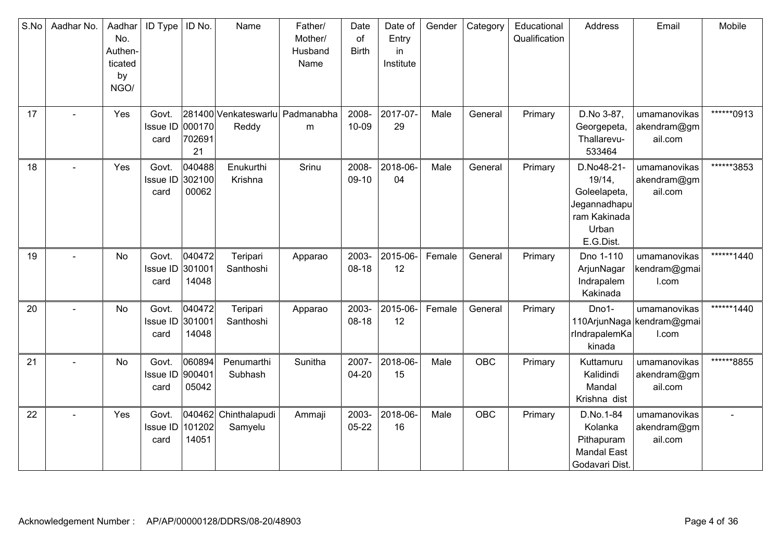| S.No | Aadhar No.     | Aadhar<br>No.<br>Authen-<br>ticated<br>by<br>NGO/ | <b>ID Type</b>                   | ID No.                    | Name                                     | Father/<br>Mother/<br>Husband<br>Name | Date<br>of<br><b>Birth</b> | Date of<br>Entry<br>in<br>Institute | Gender | Category   | Educational<br>Qualification | Address                                                                                    | Email                                              | Mobile      |
|------|----------------|---------------------------------------------------|----------------------------------|---------------------------|------------------------------------------|---------------------------------------|----------------------------|-------------------------------------|--------|------------|------------------------------|--------------------------------------------------------------------------------------------|----------------------------------------------------|-------------|
| 17   |                | Yes                                               | Govt.<br>Issue ID 000170<br>card | 702691<br>21              | 281400 Venkateswarlu Padmanabha<br>Reddy | ${\sf m}$                             | 2008-<br>10-09             | 2017-07-<br>29                      | Male   | General    | Primary                      | D.No 3-87,<br>Georgepeta,<br>Thallarevu-<br>533464                                         | umamanovikas<br>akendram@gm<br>ail.com             | *******0913 |
| 18   |                | Yes                                               | Govt.<br>Issue ID<br>card        | 040488<br>302100<br>00062 | Enukurthi<br>Krishna                     | Srinu                                 | 2008-<br>09-10             | 2018-06-<br>04                      | Male   | General    | Primary                      | D.No48-21-<br>19/14,<br>Goleelapeta,<br>Jegannadhapu<br>ram Kakinada<br>Urban<br>E.G.Dist. | umamanovikas<br>akendram@gm<br>ail.com             | ******3853  |
| 19   |                | No                                                | Govt.<br>Issue ID 301001<br>card | 040472<br>14048           | Teripari<br>Santhoshi                    | Apparao                               | 2003-<br>$08-18$           | 2015-06-<br>12                      | Female | General    | Primary                      | Dno 1-110<br>ArjunNagar<br>Indrapalem<br>Kakinada                                          | umamanovikas<br>kendram@gmai<br>I.com              | ******1440  |
| 20   |                | No                                                | Govt.<br>Issue ID 301001<br>card | 040472<br>14048           | Teripari<br>Santhoshi                    | Apparao                               | 2003-<br>$08-18$           | 2015-06-<br>12                      | Female | General    | Primary                      | Dno1-<br>rIndrapalemKa<br>kinada                                                           | umamanovikas<br>110ArjunNaga kendram@gmai<br>I.com | ******1440  |
| 21   |                | No                                                | Govt.<br>Issue ID<br>card        | 060894<br>900401<br>05042 | Penumarthi<br>Subhash                    | Sunitha                               | 2007-<br>04-20             | 2018-06-<br>15                      | Male   | <b>OBC</b> | Primary                      | Kuttamuru<br>Kalidindi<br>Mandal<br>Krishna dist                                           | umamanovikas<br>akendram@gm<br>ail.com             | ******8855  |
| 22   | $\overline{a}$ | Yes                                               | Govt.<br>Issue ID<br>card        | 040462<br>101202<br>14051 | Chinthalapudi<br>Samyelu                 | Ammaji                                | 2003-<br>$05 - 22$         | 2018-06-<br>16                      | Male   | <b>OBC</b> | Primary                      | D.No.1-84<br>Kolanka<br>Pithapuram<br><b>Mandal East</b><br>Godavari Dist.                 | umamanovikas<br>akendram@gm<br>ail.com             |             |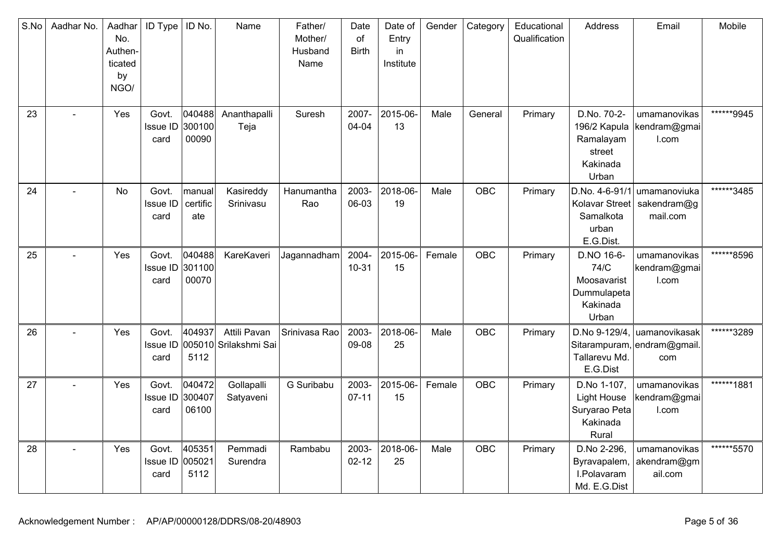| S.No | Aadhar No. | Aadhar<br>No.<br>Authen-<br>ticated<br>by<br>NGO/ | ID Type                          | ID No.                    | Name                                  | Father/<br>Mother/<br>Husband<br>Name | Date<br>of<br><b>Birth</b> | Date of<br>Entry<br>in<br>Institute | Gender | Category   | Educational<br>Qualification | Address                                                                 | Email                                                | Mobile     |
|------|------------|---------------------------------------------------|----------------------------------|---------------------------|---------------------------------------|---------------------------------------|----------------------------|-------------------------------------|--------|------------|------------------------------|-------------------------------------------------------------------------|------------------------------------------------------|------------|
| 23   |            | Yes                                               | Govt.<br>Issue ID<br>card        | 040488<br>300100<br>00090 | Ananthapalli<br>Teja                  | Suresh                                | 2007-<br>04-04             | 2015-06-<br>13                      | Male   | General    | Primary                      | D.No. 70-2-<br>196/2 Kapula<br>Ramalayam<br>street<br>Kakinada<br>Urban | umamanovikas<br>kendram@gmai<br>I.com                | ******9945 |
| 24   |            | No                                                | Govt.<br><b>Issue ID</b><br>card | manual<br>certific<br>ate | Kasireddy<br>Srinivasu                | Hanumantha<br>Rao                     | 2003-<br>06-03             | 2018-06-<br>19                      | Male   | <b>OBC</b> | Primary                      | D.No. 4-6-91/1<br>Kolavar Street<br>Samalkota<br>urban<br>E.G.Dist.     | umamanoviuka<br>sakendram@g<br>mail.com              | ******3485 |
| 25   |            | Yes                                               | Govt.<br>Issue ID<br>card        | 040488<br>301100<br>00070 | KareKaveri                            | Jagannadham                           | 2004-<br>$10 - 31$         | 2015-06-<br>15                      | Female | <b>OBC</b> | Primary                      | D.NO 16-6-<br>74/C<br>Moosavarist<br>Dummulapeta<br>Kakinada<br>Urban   | umamanovikas<br>kendram@gmai<br>I.com                | ******8596 |
| 26   |            | Yes                                               | Govt.<br><b>Issue ID</b><br>card | 404937<br>5112            | Attili Pavan<br>005010 Srilakshmi Sai | Srinivasa Rao                         | 2003-<br>09-08             | 2018-06-<br>25                      | Male   | <b>OBC</b> | Primary                      | D.No 9-129/4,<br>Tallarevu Md.<br>E.G.Dist                              | luamanovikasak<br>Sitarampuram, endram@gmail.<br>com | ******3289 |
| 27   |            | Yes                                               | Govt.<br>Issue ID<br>card        | 040472<br>300407<br>06100 | Gollapalli<br>Satyaveni               | G Suribabu                            | 2003-<br>$07 - 11$         | 2015-06-<br>15                      | Female | <b>OBC</b> | Primary                      | D.No 1-107,<br><b>Light House</b><br>Suryarao Peta<br>Kakinada<br>Rural | umamanovikas<br>kendram@gmai<br>I.com                | ******1881 |
| 28   |            | Yes                                               | Govt.<br>Issue ID 005021<br>card | 405351<br>5112            | Pemmadi<br>Surendra                   | Rambabu                               | 2003-<br>$02 - 12$         | 2018-06-<br>25                      | Male   | <b>OBC</b> | Primary                      | D.No 2-296,<br>Byravapalem,<br>I.Polavaram<br>Md. E.G.Dist              | umamanovikas<br>akendram@gm<br>ail.com               | ******5570 |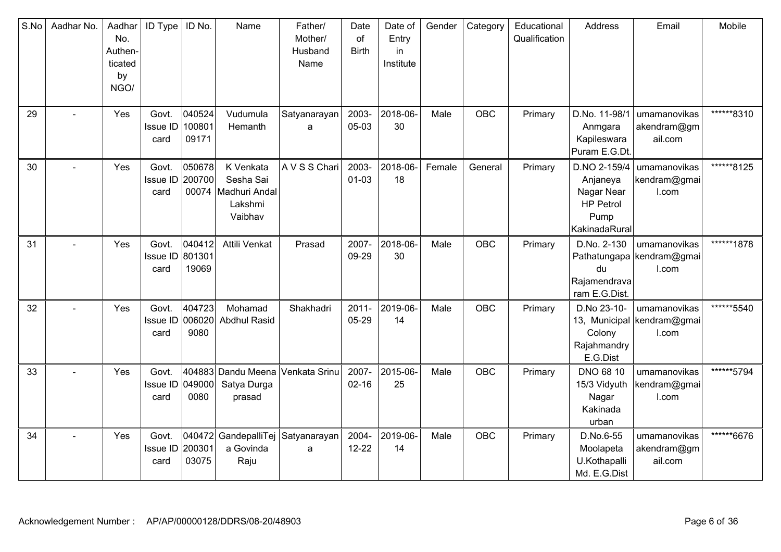| S.No | Aadhar No. | Aadhar<br>No.<br>Authen-<br>ticated<br>by<br>NGO/ | <b>ID Type</b>                   | ID No.                    | Name                                                                  | Father/<br>Mother/<br>Husband<br>Name | Date<br>of<br><b>Birth</b> | Date of<br>Entry<br>in<br>Institute | Gender | Category   | Educational<br>Qualification | Address                                                                             | Email                                               | Mobile      |
|------|------------|---------------------------------------------------|----------------------------------|---------------------------|-----------------------------------------------------------------------|---------------------------------------|----------------------------|-------------------------------------|--------|------------|------------------------------|-------------------------------------------------------------------------------------|-----------------------------------------------------|-------------|
| 29   |            | Yes                                               | Govt.<br>Issue ID<br>card        | 040524<br>100801<br>09171 | Vudumula<br>Hemanth                                                   | Satyanarayan<br>a                     | 2003-<br>05-03             | 2018-06-<br>30                      | Male   | <b>OBC</b> | Primary                      | D.No. 11-98/1<br>Anmgara<br>Kapileswara<br>Puram E.G.Dt.                            | umamanovikas<br>akendram@gm<br>ail.com              | ******8310  |
| 30   |            | Yes                                               | Govt.<br>Issue ID 200700<br>card | 050678                    | K Venkata<br>Sesha Sai<br>00074   Madhuri Andal<br>Lakshmi<br>Vaibhav | A V S S Chari                         | 2003-<br>$01 - 03$         | 2018-06-<br>18                      | Female | General    | Primary                      | D.NO 2-159/4<br>Anjaneya<br>Nagar Near<br><b>HP Petrol</b><br>Pump<br>KakinadaRural | umamanovikas<br>kendram@gmai<br>I.com               | ******8125  |
| 31   |            | Yes                                               | Govt.<br>Issue ID 801301<br>card | 040412<br>19069           | Attili Venkat                                                         | Prasad                                | 2007-<br>09-29             | 2018-06-<br>30                      | Male   | OBC        | Primary                      | D.No. 2-130<br>du<br>Rajamendrava<br>ram E.G.Dist.                                  | umamanovikas<br>Pathatungapa kendram@gmai<br>I.com  | ******1878  |
| 32   |            | Yes                                               | Govt.<br>Issue ID 006020<br>card | 404723<br>9080            | Mohamad<br><b>Abdhul Rasid</b>                                        | Shakhadri                             | $2011 -$<br>05-29          | 2019-06-<br>14                      | Male   | <b>OBC</b> | Primary                      | D.No 23-10-<br>Colony<br>Rajahmandry<br>E.G.Dist                                    | umamanovikas<br>13, Municipal kendram@gmai<br>I.com | ******5540  |
| 33   |            | Yes                                               | Govt.<br>Issue ID 049000<br>card | 404883<br>0080            | Dandu Meena<br>Satya Durga<br>prasad                                  | Venkata Srinu                         | 2007-<br>$02 - 16$         | 2015-06-<br>25                      | Male   | OBC        | Primary                      | <b>DNO 68 10</b><br>15/3 Vidyuth<br>Nagar<br>Kakinada<br>urban                      | umamanovikas<br>kendram@gmai<br>I.com               | *******5794 |
| 34   | $\sim$     | Yes                                               | Govt.<br>Issue ID<br>card        | 040472<br>200301<br>03075 | GandepalliTej Satyanarayan<br>a Govinda<br>Raju                       | a                                     | 2004-<br>$12 - 22$         | 2019-06-<br>14                      | Male   | OBC        | Primary                      | D.No.6-55<br>Moolapeta<br>U.Kothapalli<br>Md. E.G.Dist                              | umamanovikas<br>akendram@gm<br>ail.com              | ******6676  |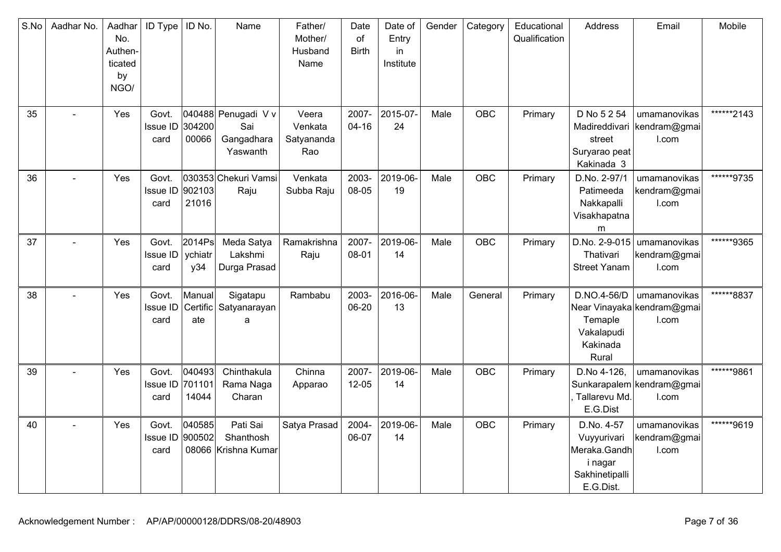| S.No | Aadhar No. | Aadhar<br>No.<br>Authen-<br>ticated<br>by<br>NGO/ | <b>ID Type</b>                   | ID No.                    | Name                                                 | Father/<br>Mother/<br>Husband<br>Name | Date<br>of<br><b>Birth</b> | Date of<br>Entry<br>in<br>Institute | Gender | Category   | Educational<br>Qualification | <b>Address</b>                                                                      | Email                                                 | Mobile     |
|------|------------|---------------------------------------------------|----------------------------------|---------------------------|------------------------------------------------------|---------------------------------------|----------------------------|-------------------------------------|--------|------------|------------------------------|-------------------------------------------------------------------------------------|-------------------------------------------------------|------------|
| 35   |            | Yes                                               | Govt.<br>Issue ID<br>card        | 304200<br>00066           | 040488 Penugadi V v<br>Sai<br>Gangadhara<br>Yaswanth | Veera<br>Venkata<br>Satyananda<br>Rao | 2007-<br>$04 - 16$         | 2015-07-<br>24                      | Male   | <b>OBC</b> | Primary                      | D No 5 2 54<br>street<br>Suryarao peat<br>Kakinada 3                                | umamanovikas<br>Madireddivari   kendram@gmai<br>I.com | ******2143 |
| 36   |            | Yes                                               | Govt.<br><b>Issue ID</b><br>card | 902103<br>21016           | 030353 Chekuri Vamsi<br>Raju                         | Venkata<br>Subba Raju                 | 2003-<br>08-05             | 2019-06-<br>19                      | Male   | <b>OBC</b> | Primary                      | D.No. 2-97/1<br>Patimeeda<br>Nakkapalli<br>Visakhapatna<br>m                        | umamanovikas<br>kendram@gmai<br>I.com                 | ******9735 |
| 37   |            | Yes                                               | Govt.<br>Issue ID<br>card        | 2014Ps<br>ychiatr<br>y34  | Meda Satya<br>Lakshmi<br>Durga Prasad                | Ramakrishna<br>Raju                   | 2007-<br>08-01             | 2019-06-<br>14                      | Male   | <b>OBC</b> | Primary                      | D.No. 2-9-015<br>Thativari<br><b>Street Yanam</b>                                   | umamanovikas<br>kendram@gmai<br>I.com                 | ******9365 |
| 38   |            | Yes                                               | Govt.<br>Issue ID<br>card        | Manual<br>Certific<br>ate | Sigatapu<br>Satyanarayan<br>a                        | Rambabu                               | 2003-<br>06-20             | 2016-06-<br>13                      | Male   | General    | Primary                      | D.NO.4-56/D<br>Temaple<br>Vakalapudi<br>Kakinada<br>Rural                           | umamanovikas<br>Near Vinayaka kendram@gmai<br>I.com   | ******8837 |
| 39   |            | Yes                                               | Govt.<br>Issue ID<br>card        | 040493<br>701101<br>14044 | Chinthakula<br>Rama Naga<br>Charan                   | Chinna<br>Apparao                     | 2007-<br>$12 - 05$         | 2019-06-<br>14                      | Male   | OBC        | Primary                      | D.No 4-126,<br>Tallarevu Md.<br>E.G.Dist                                            | umamanovikas<br>Sunkarapalem kendram@gmai<br>I.com    | ******9861 |
| 40   |            | Yes                                               | Govt.<br>Issue ID 900502<br>card | 040585                    | Pati Sai<br>Shanthosh<br>08066 Krishna Kumar         | Satya Prasad                          | 2004-<br>06-07             | 2019-06-<br>14                      | Male   | <b>OBC</b> | Primary                      | D.No. 4-57<br>Vuyyurivari<br>Meraka.Gandh<br>i nagar<br>Sakhinetipalli<br>E.G.Dist. | umamanovikas<br>kendram@gmai<br>I.com                 | ******9619 |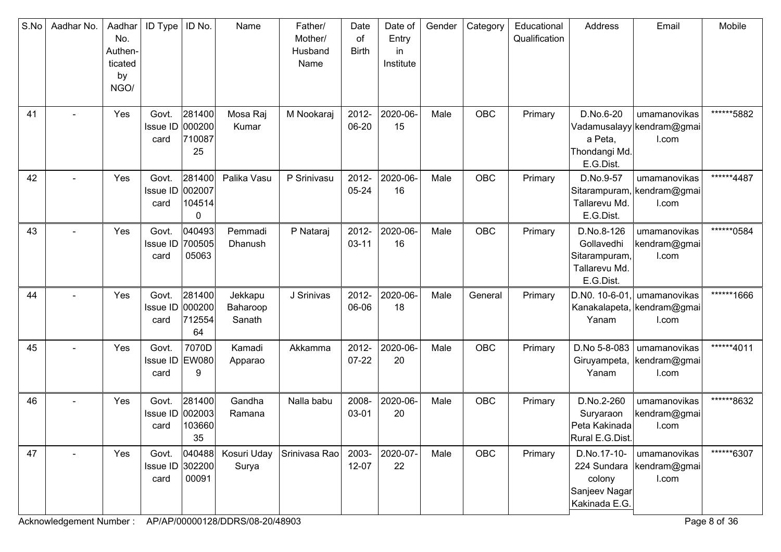| S.No | Aadhar No. | Aadhar<br>No.<br>Authen-<br>ticated<br>by<br>NGO/ | ID Type                          | ID No.                           | Name                          | Father/<br>Mother/<br>Husband<br>Name | Date<br>of<br><b>Birth</b> | Date of<br>Entry<br>in<br>Institute | Gender | Category   | Educational<br>Qualification | Address                                                                 | Email                                               | Mobile     |
|------|------------|---------------------------------------------------|----------------------------------|----------------------------------|-------------------------------|---------------------------------------|----------------------------|-------------------------------------|--------|------------|------------------------------|-------------------------------------------------------------------------|-----------------------------------------------------|------------|
| 41   |            | Yes                                               | Govt.<br><b>Issue ID</b><br>card | 281400<br>000200<br>710087<br>25 | Mosa Raj<br>Kumar             | M Nookaraj                            | 2012-<br>06-20             | 2020-06-<br>15                      | Male   | OBC        | Primary                      | D.No.6-20<br>a Peta,<br>Thondangi Md.<br>E.G.Dist.                      | umamanovikas<br>Vadamusalayy kendram@gmai<br>I.com  | ******5882 |
| 42   |            | Yes                                               | Govt.<br>Issue ID 002007<br>card | 281400<br>104514<br>0            | Palika Vasu                   | P Srinivasu                           | 2012-<br>05-24             | 2020-06-<br>16                      | Male   | OBC        | Primary                      | D.No.9-57<br>Tallarevu Md.<br>E.G.Dist.                                 | umamanovikas<br>Sitarampuram, kendram@gmai<br>I.com | ******4487 |
| 43   |            | Yes                                               | Govt.<br>Issue ID<br>card        | 040493<br>700505<br>05063        | Pemmadi<br>Dhanush            | P Nataraj                             | 2012-<br>$03 - 11$         | 2020-06-<br>16                      | Male   | OBC        | Primary                      | D.No.8-126<br>Gollavedhi<br>Sitarampuram,<br>Tallarevu Md.<br>E.G.Dist. | umamanovikas<br>kendram@gmai<br>I.com               | ******0584 |
| 44   |            | Yes                                               | Govt.<br>Issue ID<br>card        | 281400<br>000200<br>712554<br>64 | Jekkapu<br>Baharoop<br>Sanath | J Srinivas                            | 2012-<br>06-06             | 2020-06-<br>18                      | Male   | General    | Primary                      | D.NO. 10-6-01<br>Yanam                                                  | umamanovikas<br>Kanakalapeta, kendram@gmai<br>I.com | ******1666 |
| 45   |            | Yes                                               | Govt.<br>Issue ID EW080<br>card  | 7070D<br>9                       | Kamadi<br>Apparao             | Akkamma                               | 2012-<br>$07-22$           | 2020-06-<br>20                      | Male   | OBC        | Primary                      | D.No 5-8-083<br>Giruyampeta,<br>Yanam                                   | umamanovikas<br>kendram@gmai<br>I.com               | ******4011 |
| 46   |            | Yes                                               | Govt.<br>Issue ID<br>card        | 281400<br>002003<br>103660<br>35 | Gandha<br>Ramana              | Nalla babu                            | 2008-<br>03-01             | 2020-06-<br>20                      | Male   | <b>OBC</b> | Primary                      | D.No.2-260<br>Suryaraon<br>Peta Kakinada<br>Rural E.G.Dist.             | umamanovikas<br>kendram@gmai<br>I.com               | ******8632 |
| 47   |            | Yes                                               | Govt.<br>Issue ID 302200<br>card | 040488<br>00091                  | Kosuri Uday<br>Surya          | Srinivasa Rao                         | 2003-<br>$12 - 07$         | 2020-07-<br>22                      | Male   | OBC        | Primary                      | D.No.17-10-<br>224 Sundara<br>colony<br>Sanjeev Nagar<br>Kakinada E.G.  | umamanovikas<br>kendram@gmai<br>I.com               | ******6307 |

Acknowledgement Number : AP/AP/00000128/DDRS/08-20/48903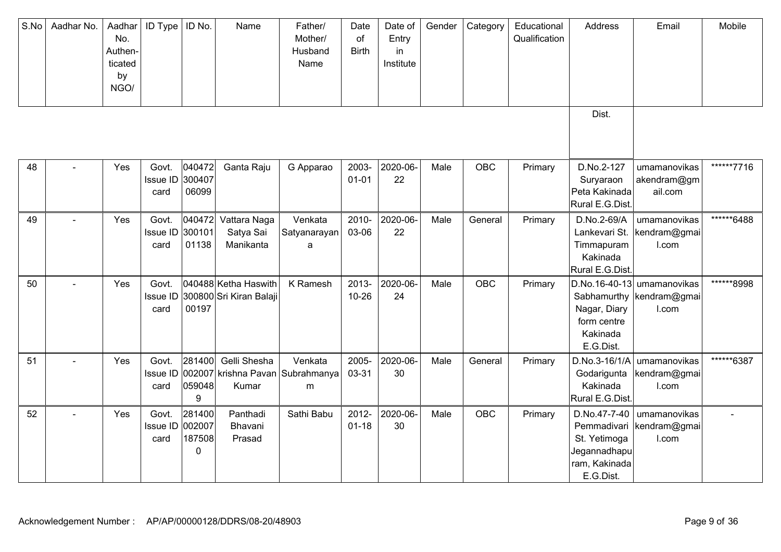| S.No | Aadhar No. | Aadhar<br>No.<br>Authen-<br>ticated<br>by<br>NGO/ | <b>ID Type</b>                   | ID No.                          | Name                                            | Father/<br>Mother/<br>Husband<br>Name | Date<br>of<br><b>Birth</b> | Date of<br>Entry<br>in<br>Institute | Gender | Category   | Educational<br>Qualification | Address                                                                                   | Email                                                             | Mobile     |
|------|------------|---------------------------------------------------|----------------------------------|---------------------------------|-------------------------------------------------|---------------------------------------|----------------------------|-------------------------------------|--------|------------|------------------------------|-------------------------------------------------------------------------------------------|-------------------------------------------------------------------|------------|
|      |            |                                                   |                                  |                                 |                                                 |                                       |                            |                                     |        |            |                              | Dist.                                                                                     |                                                                   |            |
| 48   |            | Yes                                               | Govt.<br>Issue ID 300407<br>card | 040472<br>06099                 | Ganta Raju                                      | G Apparao                             | 2003-<br>$01 - 01$         | 2020-06-<br>22                      | Male   | <b>OBC</b> | Primary                      | D.No.2-127<br>Suryaraon<br>Peta Kakinada<br>Rural E.G.Dist                                | umamanovikas<br>akendram@gm<br>ail.com                            | ******7716 |
| 49   |            | Yes                                               | Govt.<br>Issue ID<br>card        | 040472<br>300101<br>01138       | Vattara Naga<br>Satya Sai<br>Manikanta          | Venkata<br>Satyanarayan<br>a          | 2010-<br>03-06             | 2020-06<br>22                       | Male   | General    | Primary                      | D.No.2-69/A<br>Lankevari St.<br>Timmapuram<br>Kakinada<br>Rural E.G.Dist                  | umamanovikas<br>kendram@gmai<br>I.com                             | ******6488 |
| 50   |            | Yes                                               | Govt.<br>Issue ID<br>card        | 00197                           | 040488 Ketha Haswith<br>300800 Sri Kiran Balaji | K Ramesh                              | 2013-<br>$10 - 26$         | 2020-06-<br>24                      | Male   | <b>OBC</b> | Primary                      | Nagar, Diary<br>form centre<br>Kakinada<br>E.G.Dist.                                      | D.No.16-40-13 umamanovikas<br>Sabhamurthy   kendram@gmai<br>I.com | ******8998 |
| 51   |            | Yes                                               | Govt.<br>Issue ID<br>card        | 281400<br>059048<br>9           | Gelli Shesha<br>002007 krishna Pavan<br>Kumar   | Venkata<br>Subrahmanya<br>m           | 2005-<br>03-31             | 2020-06-<br>30                      | Male   | General    | Primary                      | D.No.3-16/1/A<br>Godarigunta<br>Kakinada<br>Rural E.G.Dist.                               | umamanovikas<br>kendram@gmai<br>I.com                             | ******6387 |
| 52   |            | Yes                                               | Govt.<br>Issue ID<br>card        | 281400<br>002007<br>187508<br>0 | Panthadi<br>Bhavani<br>Prasad                   | Sathi Babu                            | 2012-<br>$01 - 18$         | 2020-06-<br>30                      | Male   | OBC        | Primary                      | D.No.47-7-40<br>Pemmadivari<br>St. Yetimoga<br>Jegannadhapu<br>ram, Kakinada<br>E.G.Dist. | umamanovikas<br>kendram@gmai<br>I.com                             |            |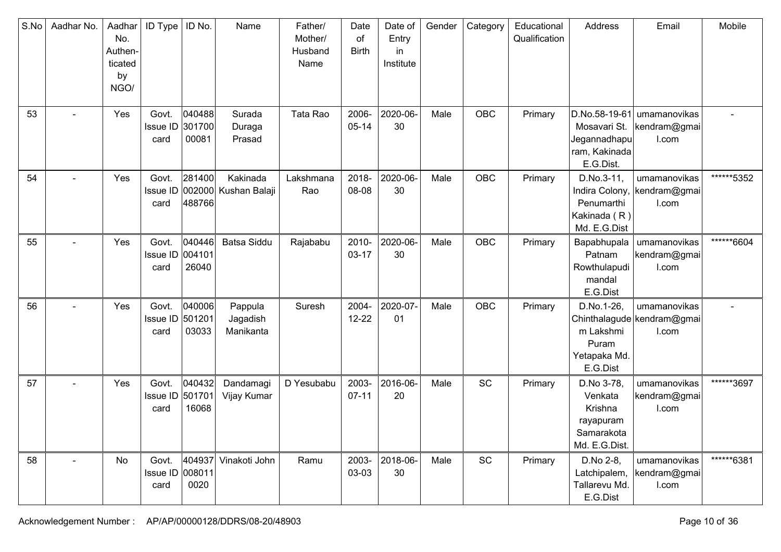| S.No | Aadhar No.     | Aadhar<br>No.<br>Authen-<br>ticated<br>by<br>NGO/ | <b>ID</b> Type                   | ID No.                    | Name                                      | Father/<br>Mother/<br>Husband<br>Name | Date<br>of<br><b>Birth</b> | Date of<br>Entry<br>in.<br>Institute | Gender | Category   | Educational<br>Qualification | Address                                                                      | Email                                               | Mobile     |
|------|----------------|---------------------------------------------------|----------------------------------|---------------------------|-------------------------------------------|---------------------------------------|----------------------------|--------------------------------------|--------|------------|------------------------------|------------------------------------------------------------------------------|-----------------------------------------------------|------------|
| 53   |                | Yes                                               | Govt.<br><b>Issue ID</b><br>card | 040488<br>301700<br>00081 | Surada<br>Duraga<br>Prasad                | Tata Rao                              | 2006-<br>$05 - 14$         | 2020-06-<br>30                       | Male   | OBC        | Primary                      | D.No.58-19-61<br>Mosavari St.<br>Jegannadhapu<br>ram, Kakinada<br>E.G.Dist.  | umamanovikas<br>kendram@gmai<br>I.com               |            |
| 54   | $\blacksquare$ | Yes                                               | Govt.<br>card                    | 281400<br>488766          | Kakinada<br>Issue ID 002000 Kushan Balaji | Lakshmana<br>Rao                      | 2018-<br>08-08             | 2020-06-<br>30                       | Male   | OBC        | Primary                      | D.No.3-11,<br>Indira Colony,<br>Penumarthi<br>Kakinada (R)<br>Md. E.G.Dist   | umamanovikas<br>kendram@gmai<br>I.com               | ******5352 |
| 55   |                | Yes                                               | Govt.<br>Issue ID 004101<br>card | 040446<br>26040           | <b>Batsa Siddu</b>                        | Rajababu                              | 2010-<br>$03 - 17$         | 2020-06-<br>30                       | Male   | OBC        | Primary                      | Bapabhupala<br>Patnam<br>Rowthulapudi<br>mandal<br>E.G.Dist                  | umamanovikas<br>kendram@gmai<br>I.com               | ******6604 |
| 56   |                | Yes                                               | Govt.<br>Issue ID 501201<br>card | 040006<br>03033           | Pappula<br>Jagadish<br>Manikanta          | Suresh                                | 2004-<br>$12 - 22$         | 2020-07-<br>01                       | Male   | <b>OBC</b> | Primary                      | D.No.1-26,<br>m Lakshmi<br>Puram<br>Yetapaka Md.<br>E.G.Dist                 | umamanovikas<br>Chinthalagude kendram@gmai<br>I.com |            |
| 57   | $\blacksquare$ | Yes                                               | Govt.<br>Issue ID<br>card        | 040432<br>501701<br>16068 | Dandamagi<br>Vijay Kumar                  | D Yesubabu                            | 2003-<br>$07 - 11$         | 2016-06-<br>20                       | Male   | SC         | Primary                      | D.No 3-78,<br>Venkata<br>Krishna<br>rayapuram<br>Samarakota<br>Md. E.G.Dist. | umamanovikas<br>kendram@gmai<br>I.com               | ******3697 |
| 58   | $\overline{a}$ | No                                                | Govt.<br>Issue ID 008011<br>card | 404937<br>0020            | Vinakoti John                             | Ramu                                  | 2003-<br>03-03             | 2018-06-<br>30                       | Male   | SC         | Primary                      | D.No 2-8,<br>Latchipalem,<br>Tallarevu Md.<br>E.G.Dist                       | umamanovikas<br>kendram@gmai<br>I.com               | ******6381 |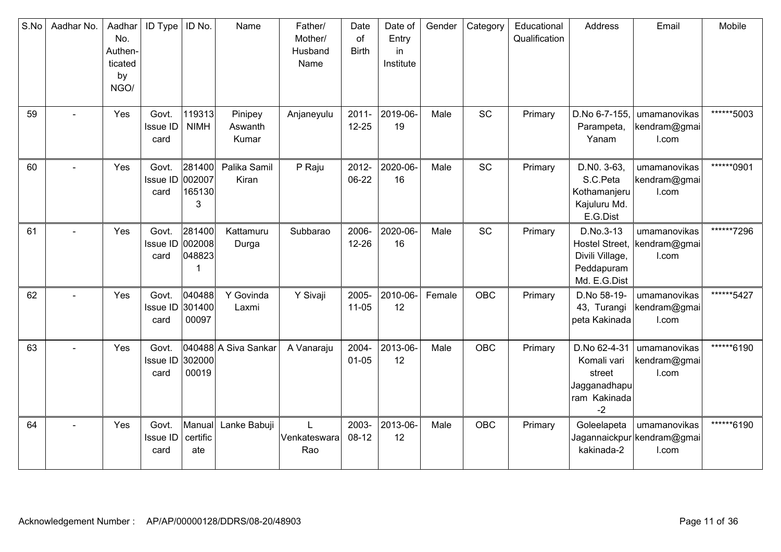| S.No | Aadhar No.     | Aadhar<br>No.<br>Authen-<br>ticated<br>by<br>NGO/ | <b>ID Type</b>                   | ID No.                          | Name                        | Father/<br>Mother/<br>Husband<br>Name | Date<br>of<br><b>Birth</b> | Date of<br>Entry<br>in<br>Institute | Gender | Category   | Educational<br>Qualification | Address                                                                             | Email                                               | Mobile     |
|------|----------------|---------------------------------------------------|----------------------------------|---------------------------------|-----------------------------|---------------------------------------|----------------------------|-------------------------------------|--------|------------|------------------------------|-------------------------------------------------------------------------------------|-----------------------------------------------------|------------|
| 59   |                | Yes                                               | Govt.<br>Issue ID<br>card        | 119313<br><b>NIMH</b>           | Pinipey<br>Aswanth<br>Kumar | Anjaneyulu                            | $2011 -$<br>$12 - 25$      | 2019-06-<br>19                      | Male   | SC         | Primary                      | D.No 6-7-155.<br>Parampeta,<br>Yanam                                                | umamanovikas<br>kendram@gmai<br>I.com               | ******5003 |
| 60   |                | Yes                                               | Govt.<br>Issue ID<br>card        | 281400<br>002007<br>165130<br>3 | Palika Samil<br>Kiran       | P Raju                                | 2012-<br>06-22             | 2020-06-<br>16                      | Male   | SC         | Primary                      | D.NO. 3-63,<br>S.C.Peta<br>Kothamanjeru<br>Kajuluru Md.<br>E.G.Dist                 | umamanovikas<br>kendram@gmai<br>I.com               | ******0901 |
| 61   |                | Yes                                               | Govt.<br>Issue ID 002008<br>card | 281400<br>048823                | Kattamuru<br>Durga          | Subbarao                              | 2006-<br>$12 - 26$         | 2020-06-<br>16                      | Male   | SC         | Primary                      | D.No.3-13<br><b>Hostel Street,</b><br>Divili Village,<br>Peddapuram<br>Md. E.G.Dist | umamanovikas<br>kendram@gmai<br>I.com               | ******7296 |
| 62   |                | Yes                                               | Govt.<br>Issue ID 301400<br>card | 040488<br>00097                 | Y Govinda<br>Laxmi          | Y Sivaji                              | 2005-<br>$11-05$           | 2010-06-<br>12                      | Female | <b>OBC</b> | Primary                      | D.No 58-19-<br>43, Turangi<br>peta Kakinada                                         | umamanovikas<br>kendram@gmai<br>I.com               | ******5427 |
| 63   | $\blacksquare$ | Yes                                               | Govt.<br>Issue ID<br>card        | 302000<br>00019                 | 040488 A Siva Sankar        | A Vanaraju                            | 2004-<br>$01 - 05$         | 2013-06-<br>12                      | Male   | OBC        | Primary                      | D.No 62-4-31<br>Komali vari<br>street<br>Jagganadhapu<br>ram Kakinada<br>$-2$       | umamanovikas<br>kendram@gmai<br>I.com               | ******6190 |
| 64   |                | Yes                                               | Govt.<br>Issue ID<br>card        | Manual<br>certific<br>ate       | Lanke Babuji                | Venkateswara<br>Rao                   | 2003-<br>$08-12$           | 2013-06-<br>12                      | Male   | OBC        | Primary                      | Goleelapeta<br>kakinada-2                                                           | umamanovikas<br>Jagannaickpur kendram@gmai<br>I.com | ******6190 |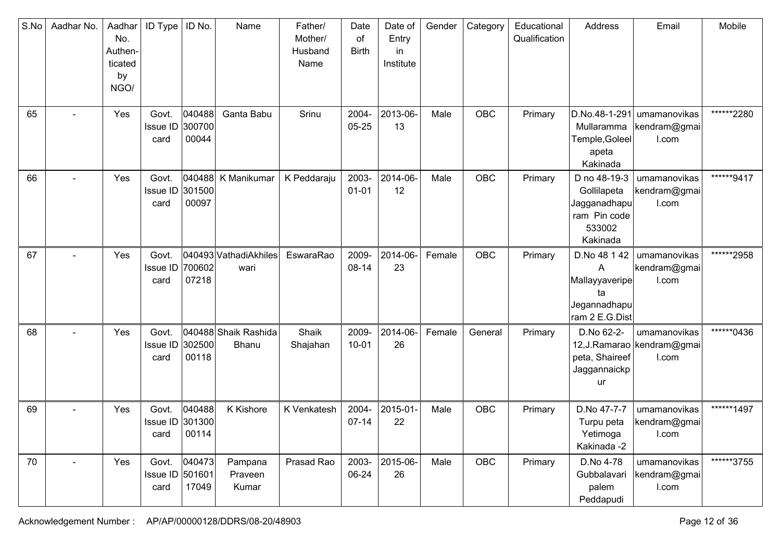| S.No | Aadhar No.               | Aadhar<br>No.<br>Authen-<br>ticated<br>by<br>NGO/ | <b>ID Type</b>                   | ID No.                       | Name                          | Father/<br>Mother/<br>Husband<br>Name | Date<br>of<br><b>Birth</b> | Date of<br>Entry<br>in<br>Institute | Gender | Category   | Educational<br>Qualification | Address                                                                            | Email                                                  | Mobile     |
|------|--------------------------|---------------------------------------------------|----------------------------------|------------------------------|-------------------------------|---------------------------------------|----------------------------|-------------------------------------|--------|------------|------------------------------|------------------------------------------------------------------------------------|--------------------------------------------------------|------------|
| 65   |                          | Yes                                               | Govt.<br><b>Issue ID</b><br>card | 040488<br>300700<br>00044    | Ganta Babu                    | Srinu                                 | 2004-<br>$05 - 25$         | 2013-06-<br>13                      | Male   | OBC        | Primary                      | D.No.48-1-291<br>Mullaramma<br>Temple, Goleel<br>apeta<br>Kakinada                 | umamanovikas<br>kendram@gmai<br>I.com                  | ******2280 |
| 66   |                          | Yes                                               | Govt.<br>Issue ID<br>card        | 301500<br>00097              | 040488 K Manikumar            | K Peddaraju                           | 2003-<br>$01 - 01$         | 2014-06-<br>12                      | Male   | OBC        | Primary                      | D no 48-19-3<br>Gollilapeta<br>Jagganadhapu <br>ram Pin code<br>533002<br>Kakinada | umamanovikas<br>kendram@gmai<br>I.com                  | ******9417 |
| 67   | $\overline{\phantom{0}}$ | Yes                                               | Govt.<br><b>Issue ID</b><br>card | 700602<br>07218              | 040493 VathadiAkhiles<br>wari | EswaraRao                             | 2009-<br>08-14             | 2014-06-<br>23                      | Female | OBC        | Primary                      | D.No 48 1 42<br>A<br>Mallayyaveripe<br>ta<br>Jegannadhapu<br>ram 2 E.G.Dist        | umamanovikas<br>kendram@gmai<br>I.com                  | ******2958 |
| 68   | $\overline{\phantom{0}}$ | Yes                                               | Govt.<br><b>Issue ID</b><br>card | 302500<br>00118              | 040488 Shaik Rashida<br>Bhanu | Shaik<br>Shajahan                     | 2009-<br>$10 - 01$         | 2014-06-<br>26                      | Female | General    | Primary                      | D.No 62-2-<br>peta, Shaireef<br>Jaggannaickp<br><b>ur</b>                          | umamanovikas<br>12, J. Ramarao   kendram@gmai<br>I.com | ******0436 |
| 69   |                          | Yes                                               | Govt.<br>Issue ID 301300         | 040488<br>card $\vert$ 00114 | <b>K</b> Kishore              | K Venkatesh                           | 2004-<br>$07 - 14$         | 2015-01<br>22                       | Male   | OBC        | Primary                      | D.No 47-7-7<br>Turpu peta<br>Yetimoga<br>Kakinada -2                               | umamanovikas<br>kendram@gmai<br>l.com                  | ******1497 |
| 70   | $\overline{a}$           | Yes                                               | Govt.<br>Issue ID 501601<br>card | 040473<br>17049              | Pampana<br>Praveen<br>Kumar   | Prasad Rao                            | 2003-<br>06-24             | 2015-06-<br>26                      | Male   | <b>OBC</b> | Primary                      | D.No 4-78<br>Gubbalavari<br>palem<br>Peddapudi                                     | umamanovikas<br>kendram@gmai<br>I.com                  | ******3755 |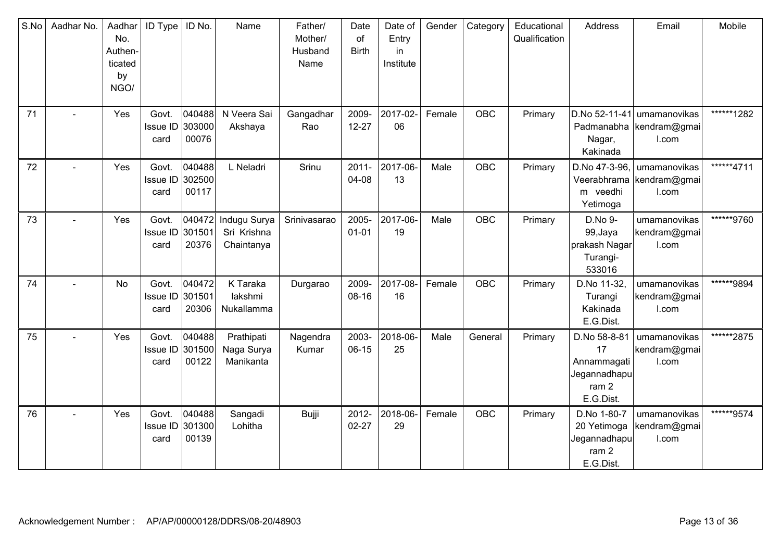| S.No | Aadhar No. | Aadhar<br>No.<br>Authen-<br>ticated<br>by<br>NGO/ | <b>ID Type</b>                   | ID No.                    | Name                                      | Father/<br>Mother/<br>Husband<br>Name | Date<br>of<br><b>Birth</b> | Date of<br>Entry<br>in<br>Institute | Gender | Category   | Educational<br>Qualification | Address                                                                            | Email                                              | Mobile     |
|------|------------|---------------------------------------------------|----------------------------------|---------------------------|-------------------------------------------|---------------------------------------|----------------------------|-------------------------------------|--------|------------|------------------------------|------------------------------------------------------------------------------------|----------------------------------------------------|------------|
| 71   |            | Yes                                               | Govt.<br>Issue ID 303000<br>card | 040488<br>00076           | N Veera Sai<br>Akshaya                    | Gangadhar<br>Rao                      | 2009-<br>$12 - 27$         | 2017-02-<br>06                      | Female | <b>OBC</b> | Primary                      | D.No 52-11-41<br>Nagar,<br>Kakinada                                                | umamanovikas<br>Padmanabha   kendram@gmai<br>I.com | ******1282 |
| 72   |            | Yes                                               | Govt.<br>Issue ID<br>card        | 040488<br>302500<br>00117 | L Neladri                                 | Srinu                                 | $2011 -$<br>04-08          | 2017-06-<br>13                      | Male   | OBC        | Primary                      | D.No 47-3-96.<br>m veedhi<br>Yetimoga                                              | umamanovikas<br>Veerabhrama kendram@gmai<br>I.com  | ******4711 |
| 73   |            | Yes                                               | Govt.<br>Issue ID<br>card        | 040472<br>301501<br>20376 | Indugu Surya<br>Sri Krishna<br>Chaintanya | Srinivasarao                          | 2005-<br>$01 - 01$         | 2017-06-<br>19                      | Male   | OBC        | Primary                      | D.No 9-<br>99, Jaya<br>prakash Nagar<br>Turangi-<br>533016                         | umamanovikas<br>kendram@gmai<br>I.com              | ******9760 |
| 74   |            | No                                                | Govt.<br>Issue ID 301501<br>card | 040472<br>20306           | K Taraka<br>lakshmi<br>Nukallamma         | Durgarao                              | 2009-<br>08-16             | 2017-08-<br>16                      | Female | OBC        | Primary                      | D.No 11-32,<br>Turangi<br>Kakinada<br>E.G.Dist.                                    | umamanovikas<br>kendram@gmai<br>I.com              | ******9894 |
| 75   |            | Yes                                               | Govt.<br>Issue ID 301500<br>card | 040488<br>00122           | Prathipati<br>Naga Surya<br>Manikanta     | Nagendra<br>Kumar                     | 2003-<br>$06-15$           | 2018-06-<br>25                      | Male   | General    | Primary                      | D.No 58-8-81<br>17<br>Annammagati<br>Jegannadhapu<br>ram <sub>2</sub><br>E.G.Dist. | umamanovikas<br>kendram@gmai<br>I.com              | ******2875 |
| 76   |            | Yes                                               | Govt.<br>Issue ID<br>card        | 040488<br>301300<br>00139 | Sangadi<br>Lohitha                        | Bujji                                 | 2012-<br>$02 - 27$         | 2018-06-<br>29                      | Female | OBC        | Primary                      | D.No 1-80-7<br>20 Yetimoga<br>Jegannadhapu<br>ram 2<br>E.G.Dist.                   | umamanovikas<br>kendram@gmai<br>I.com              | ******9574 |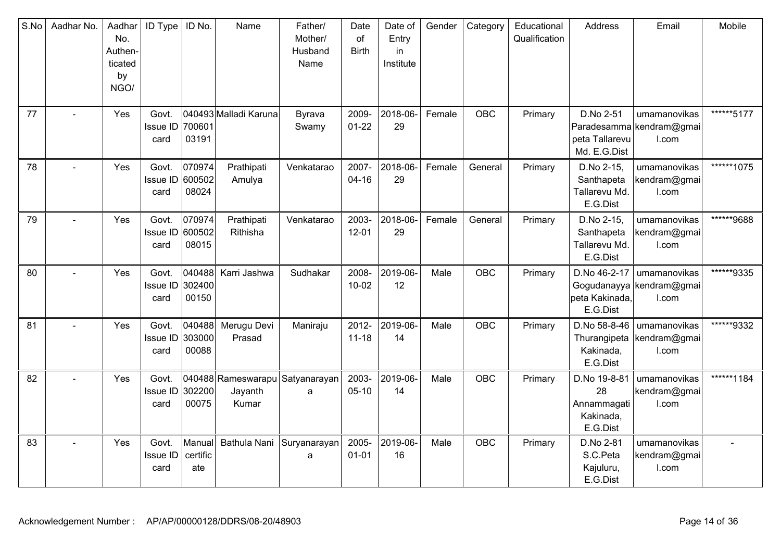| S.No | Aadhar No. | Aadhar<br>No.<br>Authen-<br>ticated<br>by<br>NGO/ | <b>ID Type</b>                   | ID No.                    | Name                                                | Father/<br>Mother/<br>Husband<br>Name | Date<br>of<br><b>Birth</b> | Date of<br>Entry<br>in<br>Institute | Gender | Category   | Educational<br>Qualification | Address                                                    | Email                                             | Mobile     |
|------|------------|---------------------------------------------------|----------------------------------|---------------------------|-----------------------------------------------------|---------------------------------------|----------------------------|-------------------------------------|--------|------------|------------------------------|------------------------------------------------------------|---------------------------------------------------|------------|
| 77   |            | Yes                                               | Govt.<br>Issue ID<br>card        | 700601<br>03191           | 040493 Malladi Karuna                               | Byrava<br>Swamy                       | 2009-<br>$01 - 22$         | 2018-06-<br>29                      | Female | <b>OBC</b> | Primary                      | D.No 2-51<br>peta Tallarevu<br>Md. E.G.Dist                | umamanovikas<br>Paradesamma kendram@gmai<br>I.com | ******5177 |
| 78   |            | <b>Yes</b>                                        | Govt.<br>Issue ID<br>card        | 070974<br>600502<br>08024 | Prathipati<br>Amulya                                | Venkatarao                            | 2007-<br>$04 - 16$         | 2018-06-<br>29                      | Female | General    | Primary                      | D.No 2-15,<br>Santhapeta<br>Tallarevu Md.<br>E.G.Dist      | umamanovikas<br>kendram@gmai<br>I.com             | ******1075 |
| 79   |            | Yes                                               | Govt.<br><b>Issue ID</b><br>card | 070974<br>600502<br>08015 | Prathipati<br>Rithisha                              | Venkatarao                            | 2003-<br>$12 - 01$         | 2018-06-<br>29                      | Female | General    | Primary                      | D.No 2-15,<br>Santhapeta<br>Tallarevu Md.<br>E.G.Dist      | umamanovikas<br>kendram@gmai<br>I.com             | ******9688 |
| 80   |            | Yes                                               | Govt.<br>Issue ID<br>card        | 040488<br>302400<br>00150 | Karri Jashwa                                        | Sudhakar                              | 2008-<br>$10 - 02$         | 2019-06-<br>12                      | Male   | <b>OBC</b> | Primary                      | D.No 46-2-17<br>peta Kakinada,<br>E.G.Dist                 | umamanovikas<br>Gogudanayya kendram@gmai<br>I.com | ******9335 |
| 81   |            | Yes                                               | Govt.<br>Issue ID 303000<br>card | 040488<br>00088           | Merugu Devi<br>Prasad                               | Maniraju                              | 2012-<br>$11 - 18$         | 2019-06-<br>14                      | Male   | OBC        | Primary                      | D.No 58-8-46<br>Thurangipeta<br>Kakinada,<br>E.G.Dist      | umamanovikas<br>kendram@gmai<br>I.com             | ******9332 |
| 82   |            | Yes                                               | Govt.<br>Issue ID<br>card        | 302200<br>00075           | 040488 Rameswarapu Satyanarayan<br>Jayanth<br>Kumar | a                                     | 2003-<br>$05 - 10$         | 2019-06-<br>14                      | Male   | <b>OBC</b> | Primary                      | D.No 19-8-81<br>28<br>Annammagati<br>Kakinada,<br>E.G.Dist | umamanovikas<br>kendram@gmai<br>I.com             | ******1184 |
| 83   |            | Yes                                               | Govt.<br>Issue ID<br>card        | Manual<br>certific<br>ate | Bathula Nani                                        | Suryanarayan<br>a                     | 2005-<br>$01 - 01$         | 2019-06-<br>16                      | Male   | <b>OBC</b> | Primary                      | D.No 2-81<br>S.C.Peta<br>Kajuluru,<br>E.G.Dist             | umamanovikas<br>kendram@gmai<br>l.com             |            |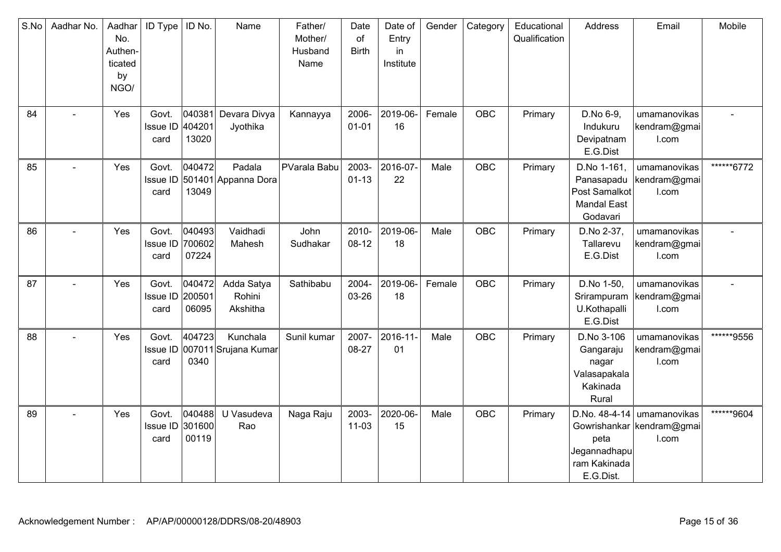| S.No | Aadhar No.     | Aadhar<br>No.<br>Authen-<br>ticated<br>by<br>NGO/ | ID Type                          | ID No.                    | Name                                   | Father/<br>Mother/<br>Husband<br>Name | Date<br>of<br><b>Birth</b> | Date of<br>Entry<br>in<br>Institute | Gender | Category   | Educational<br>Qualification | Address                                                                      | Email                                                              | Mobile     |
|------|----------------|---------------------------------------------------|----------------------------------|---------------------------|----------------------------------------|---------------------------------------|----------------------------|-------------------------------------|--------|------------|------------------------------|------------------------------------------------------------------------------|--------------------------------------------------------------------|------------|
| 84   | $\overline{a}$ | Yes                                               | Govt.<br><b>Issue ID</b><br>card | 040381<br>404201<br>13020 | Devara Divya<br>Jyothika               | Kannayya                              | 2006-<br>$01 - 01$         | 2019-06-<br>16                      | Female | <b>OBC</b> | Primary                      | D.No 6-9,<br>Indukuru<br>Devipatnam<br>E.G.Dist                              | umamanovikas<br>kendram@gmai<br>I.com                              |            |
| 85   |                | Yes                                               | Govt.<br>card                    | 040472<br>13049           | Padala<br>Issue ID 501401 Appanna Dora | PVarala Babu                          | 2003-<br>$01 - 13$         | 2016-07-<br>22                      | Male   | <b>OBC</b> | Primary                      | D.No 1-161,<br>Panasapadu<br>Post Samalkot<br><b>Mandal East</b><br>Godavari | umamanovikas<br>kendram@gmai<br>I.com                              | ******6772 |
| 86   |                | Yes                                               | Govt.<br>Issue ID<br>card        | 040493<br>700602<br>07224 | Vaidhadi<br>Mahesh                     | John<br>Sudhakar                      | 2010-<br>$08-12$           | 2019-06-<br>18                      | Male   | OBC        | Primary                      | D.No 2-37,<br>Tallarevu<br>E.G.Dist                                          | umamanovikas<br>kendram@gmai<br>I.com                              |            |
| 87   |                | Yes                                               | Govt.<br>Issue ID<br>card        | 040472<br>200501<br>06095 | Adda Satya<br>Rohini<br>Akshitha       | Sathibabu                             | 2004-<br>03-26             | 2019-06-<br>18                      | Female | <b>OBC</b> | Primary                      | D.No 1-50,<br>Srirampuram<br>U.Kothapalli<br>E.G.Dist                        | umamanovikas<br>kendram@gmai<br>I.com                              |            |
| 88   |                | Yes                                               | Govt.<br>Issue ID<br>card        | 404723<br>0340            | Kunchala<br>007011 Srujana Kumar       | Sunil kumar                           | 2007-<br>08-27             | 2016-11-<br>01                      | Male   | OBC        | Primary                      | D.No 3-106<br>Gangaraju<br>nagar<br>Valasapakala<br>Kakinada<br>Rural        | umamanovikas<br>kendram@gmai<br>I.com                              | ******9556 |
| 89   |                | Yes                                               | Govt.<br><b>Issue ID</b><br>card | 040488<br>301600<br>00119 | U Vasudeva<br>Rao                      | Naga Raju                             | 2003-<br>$11 - 03$         | 2020-06-<br>15                      | Male   | <b>OBC</b> | Primary                      | peta<br>Jegannadhapu<br>ram Kakinada<br>E.G.Dist.                            | D.No. 48-4-14   umamanovikas<br>Gowrishankar kendram@gmai<br>I.com | ******9604 |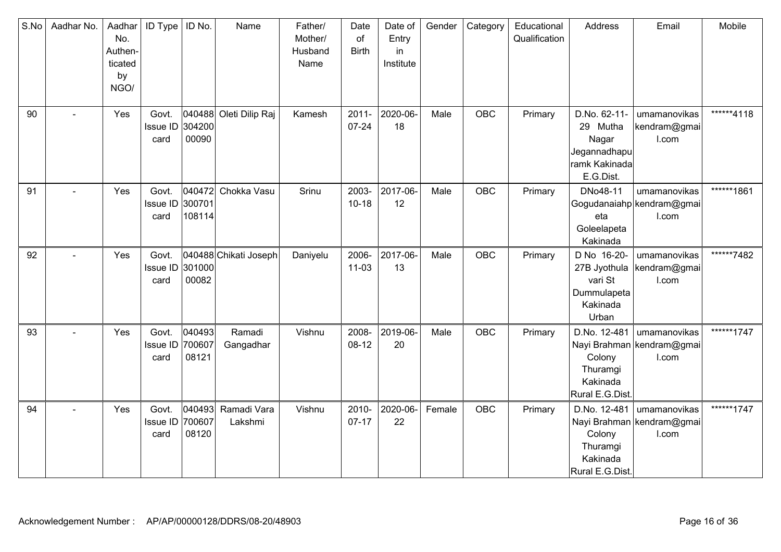| S.No | Aadhar No. | Aadhar<br>No.<br>Authen-<br>ticated<br>by<br>NGO/ | <b>ID Type</b>                   | ID No.                     | Name                   | Father/<br>Mother/<br>Husband<br>Name | Date<br>of<br><b>Birth</b> | Date of<br>Entry<br>in<br>Institute | Gender | Category   | Educational<br>Qualification | Address                                                                         | Email                                              | Mobile     |
|------|------------|---------------------------------------------------|----------------------------------|----------------------------|------------------------|---------------------------------------|----------------------------|-------------------------------------|--------|------------|------------------------------|---------------------------------------------------------------------------------|----------------------------------------------------|------------|
| 90   | $\sim$     | Yes                                               | Govt.<br><b>Issue ID</b><br>card | 304200<br>00090            | 040488 Oleti Dilip Raj | Kamesh                                | $2011 -$<br>$07 - 24$      | 2020-06-<br>18                      | Male   | OBC        | Primary                      | D.No. 62-11-<br>29 Mutha<br>Nagar<br>Jegannadhapu<br>ramk Kakinada<br>E.G.Dist. | umamanovikas<br>kendram@gmai<br>I.com              | ******4118 |
| 91   |            | Yes                                               | Govt.<br>Issue ID<br>card        | 040472<br>300701<br>108114 | Chokka Vasu            | Srinu                                 | 2003-<br>$10 - 18$         | 2017-06-<br>12                      | Male   | <b>OBC</b> | Primary                      | DNo48-11<br>eta<br>Goleelapeta<br>Kakinada                                      | umamanovikas<br>Gogudanaiahp kendram@gmai<br>I.com | ******1861 |
| 92   |            | Yes                                               | Govt.<br><b>Issue ID</b><br>card | 301000<br>00082            | 040488 Chikati Joseph  | Daniyelu                              | 2006-<br>$11 - 03$         | 2017-06-<br>13                      | Male   | OBC        | Primary                      | D No 16-20-<br>27B Jyothula<br>vari St<br>Dummulapeta<br>Kakinada<br>Urban      | umamanovikas<br>kendram@gmai<br>I.com              | ******7482 |
| 93   |            | Yes                                               | Govt.<br>Issue ID<br>card        | 040493<br>700607<br>08121  | Ramadi<br>Gangadhar    | Vishnu                                | 2008-<br>$08-12$           | 2019-06-<br>20                      | Male   | OBC        | Primary                      | D.No. 12-481<br>Colony<br>Thuramgi<br>Kakinada<br>Rural E.G.Dist.               | umamanovikas<br>Nayi Brahman kendram@gmai<br>I.com | ******1747 |
| 94   | $\sim$     | Yes                                               | Govt.<br><b>Issue ID</b><br>card | 040493<br>700607<br>08120  | Ramadi Vara<br>Lakshmi | Vishnu                                | 2010-<br>$07-17$           | 2020-06-<br>22                      | Female | OBC        | Primary                      | D.No. 12-481<br>Colony<br>Thuramgi<br>Kakinada<br>Rural E.G.Dist.               | umamanovikas<br>Nayi Brahman kendram@gmai<br>I.com | ******1747 |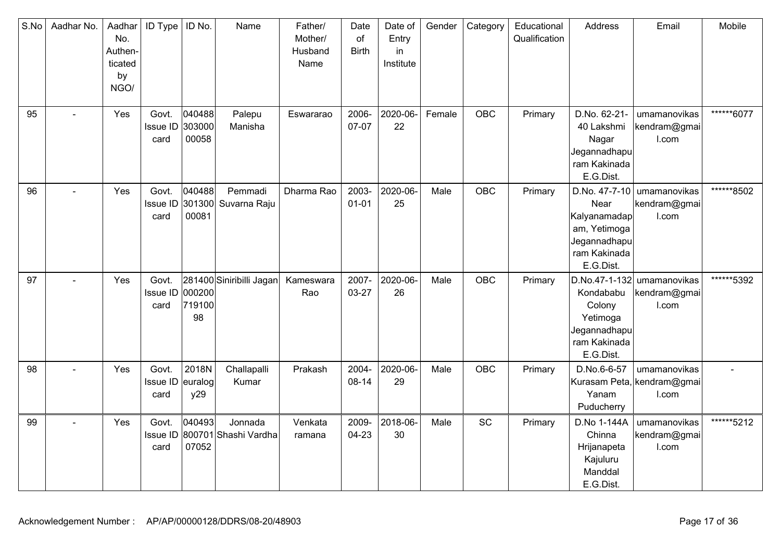| S.No | Aadhar No.               | Aadhar<br>No.<br>Authen-<br>ticated<br>by<br>NGO/ | ID Type                           | ID No.                    | Name                                     | Father/<br>Mother/<br>Husband<br>Name | Date<br>of<br><b>Birth</b> | Date of<br>Entry<br>in<br>Institute | Gender | Category   | Educational<br>Qualification | Address                                                                           | Email                                                 | Mobile     |
|------|--------------------------|---------------------------------------------------|-----------------------------------|---------------------------|------------------------------------------|---------------------------------------|----------------------------|-------------------------------------|--------|------------|------------------------------|-----------------------------------------------------------------------------------|-------------------------------------------------------|------------|
| 95   |                          | Yes                                               | Govt.<br>Issue ID<br>card         | 040488<br>303000<br>00058 | Palepu<br>Manisha                        | Eswararao                             | 2006-<br>07-07             | 2020-06-<br>22                      | Female | OBC        | Primary                      | D.No. 62-21-<br>40 Lakshmi<br>Nagar<br>Jegannadhapu<br>ram Kakinada<br>E.G.Dist.  | umamanovikas<br>kendram@gmai<br>I.com                 | ******6077 |
| 96   | $\overline{\phantom{a}}$ | Yes                                               | Govt.<br>Issue ID<br>card         | 040488<br>301300<br>00081 | Pemmadi<br>Suvarna Raju                  | Dharma Rao                            | 2003-<br>$01 - 01$         | 2020-06-<br>25                      | Male   | <b>OBC</b> | Primary                      | Near<br>Kalyanamadap<br>am, Yetimoga<br>Jegannadhapu<br>ram Kakinada<br>E.G.Dist. | D.No. 47-7-10   umamanovikas<br>kendram@gmai<br>I.com | ******8502 |
| 97   | $\overline{\phantom{a}}$ | Yes                                               | Govt.<br>Issue ID<br>card         | 000200<br>719100<br>98    | 281400 Siniribilli Jagan                 | Kameswara<br>Rao                      | 2007-<br>03-27             | 2020-06-<br>26                      | Male   | <b>OBC</b> | Primary                      | Kondababu<br>Colony<br>Yetimoga<br>Jegannadhapu<br>ram Kakinada<br>E.G.Dist.      | D.No.47-1-132 umamanovikas<br>kendram@gmai<br>I.com   | ******5392 |
| 98   | $\blacksquare$           | Yes                                               | Govt.<br>Issue ID euralog<br>card | 2018N<br>y29              | Challapalli<br>Kumar                     | Prakash                               | 2004-<br>08-14             | 2020-06-<br>29                      | Male   | OBC        | Primary                      | D.No.6-6-57<br>Yanam<br>Puducherry                                                | umamanovikas<br>Kurasam Peta, kendram@gmai<br>I.com   |            |
| 99   |                          | Yes                                               | Govt.<br>card                     | 040493<br>07052           | Jonnada<br>Issue ID 800701 Shashi Vardha | Venkata<br>ramana                     | 2009-<br>04-23             | 2018-06-<br>30                      | Male   | <b>SC</b>  | Primary                      | D.No 1-144A<br>Chinna<br>Hrijanapeta<br>Kajuluru<br>Manddal<br>E.G.Dist.          | umamanovikas<br>kendram@gmai<br>I.com                 | ******5212 |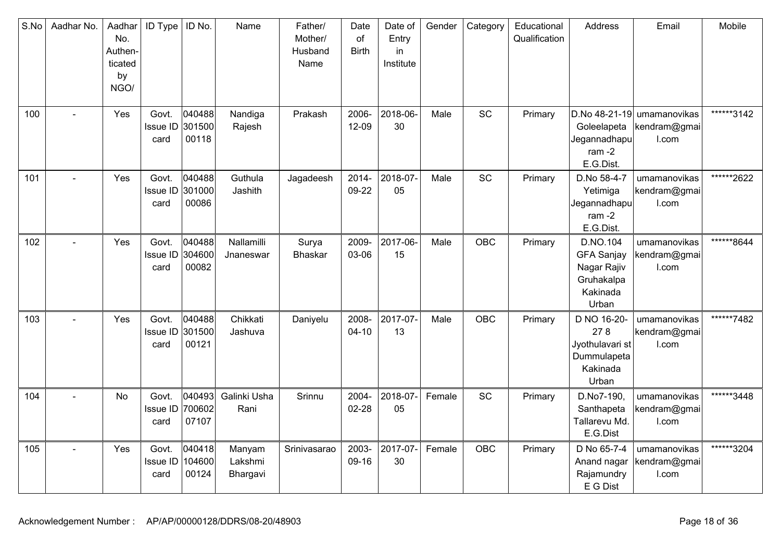| S.No | Aadhar No.     | Aadhar<br>No.<br>Authen-<br>ticated<br>by<br>NGO/ | ID Type                          | ID No.                    | Name                          | Father/<br>Mother/<br>Husband<br>Name | Date<br>of<br><b>Birth</b> | Date of<br>Entry<br>in<br>Institute | Gender | Category   | Educational<br>Qualification | Address                                                                         | Email                                               | Mobile     |
|------|----------------|---------------------------------------------------|----------------------------------|---------------------------|-------------------------------|---------------------------------------|----------------------------|-------------------------------------|--------|------------|------------------------------|---------------------------------------------------------------------------------|-----------------------------------------------------|------------|
| 100  |                | Yes                                               | Govt.<br>Issue ID<br>card        | 040488<br>301500<br>00118 | Nandiga<br>Rajesh             | Prakash                               | 2006-<br>$12 - 09$         | 2018-06-<br>30                      | Male   | SC         | Primary                      | Goleelapeta<br>Jegannadhapu<br>ram $-2$<br>E.G.Dist.                            | D.No 48-21-19 umamanovikas<br>kendram@gmai<br>I.com | ******3142 |
| 101  |                | Yes                                               | Govt.<br><b>Issue ID</b><br>card | 040488<br>301000<br>00086 | Guthula<br>Jashith            | Jagadeesh                             | 2014-<br>09-22             | 2018-07-<br>05                      | Male   | SC         | Primary                      | D.No 58-4-7<br>Yetimiga<br>Jegannadhapu $\mid$<br>ram $-2$<br>E.G.Dist.         | umamanovikas<br>kendram@gmai<br>I.com               | ******2622 |
| 102  |                | Yes                                               | Govt.<br>Issue ID<br>card        | 040488<br>304600<br>00082 | Nallamilli<br>Jnaneswar       | Surya<br><b>Bhaskar</b>               | 2009-<br>03-06             | 2017-06-<br>15                      | Male   | <b>OBC</b> | Primary                      | D.NO.104<br><b>GFA Sanjay</b><br>Nagar Rajiv<br>Gruhakalpa<br>Kakinada<br>Urban | umamanovikas<br>kendram@gmai<br>I.com               | ******8644 |
| 103  | $\overline{a}$ | Yes                                               | Govt.<br><b>Issue ID</b><br>card | 040488<br>301500<br>00121 | Chikkati<br>Jashuva           | Daniyelu                              | 2008-<br>$04 - 10$         | 2017-07-<br>13                      | Male   | OBC        | Primary                      | D NO 16-20-<br>278<br>Jyothulavari st<br>Dummulapeta<br>Kakinada<br>Urban       | umamanovikas<br>kendram@gmai<br>I.com               | ******7482 |
| 104  | L,             | <b>No</b>                                         | Govt.<br>Issue ID<br>card        | 040493<br>700602<br>07107 | Galinki Usha<br>Rani          | Srinnu                                | 2004-<br>$02 - 28$         | 2018-07-<br>05                      | Female | SC         | Primary                      | D.No7-190,<br>Santhapeta<br>Tallarevu Md.<br>E.G.Dist                           | umamanovikas<br>kendram@gmai<br>I.com               | ******3448 |
| 105  |                | Yes                                               | Govt.<br>Issue ID<br>card        | 040418<br>104600<br>00124 | Manyam<br>Lakshmi<br>Bhargavi | Srinivasarao                          | 2003-<br>09-16             | 2017-07-<br>30                      | Female | OBC        | Primary                      | D No 65-7-4<br>Anand nagar<br>Rajamundry<br>E G Dist                            | umamanovikas<br>kendram@gmai<br>I.com               | ******3204 |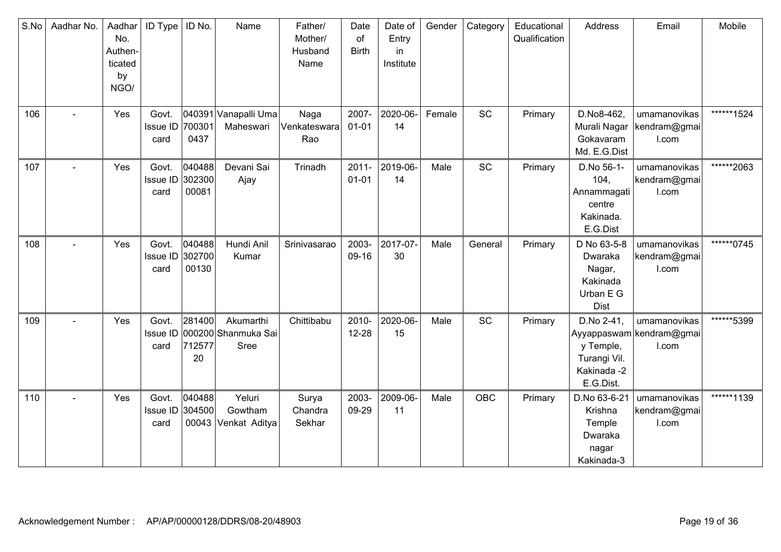| S.No | Aadhar No.     | Aadhar<br>No.<br>Authen-<br>ticated<br>by<br>NGO/ | <b>ID Type</b>                   | ID No.                    | Name                                            | Father/<br>Mother/<br>Husband<br>Name | Date<br>of<br><b>Birth</b> | Date of<br>Entry<br>in<br>Institute | Gender | Category   | Educational<br>Qualification | Address                                                                  | Email                                             | Mobile     |
|------|----------------|---------------------------------------------------|----------------------------------|---------------------------|-------------------------------------------------|---------------------------------------|----------------------------|-------------------------------------|--------|------------|------------------------------|--------------------------------------------------------------------------|---------------------------------------------------|------------|
| 106  |                | Yes                                               | Govt.<br>Issue ID<br>card        | 700301<br>0437            | 040391 Vanapalli Uma<br>Maheswari               | Naga<br>Venkateswara<br>Rao           | 2007-<br>$01 - 01$         | 2020-06-<br>14                      | Female | <b>SC</b>  | Primary                      | D.No8-462,<br>Murali Nagar<br>Gokavaram<br>Md. E.G.Dist                  | umamanovikas<br>kendram@gmai<br>I.com             | ******1524 |
| 107  |                | Yes                                               | Govt.<br>Issue ID 302300<br>card | 040488<br>00081           | Devani Sai<br>Ajay                              | Trinadh                               | $2011 -$<br>$01 - 01$      | 2019-06-<br>14                      | Male   | <b>SC</b>  | Primary                      | D.No 56-1-<br>104,<br>Annammagati<br>centre<br>Kakinada.<br>E.G.Dist     | umamanovikas<br>kendram@gmai<br>I.com             | ******2063 |
| 108  | $\sim$         | Yes                                               | Govt.<br>Issue ID<br>card        | 040488<br>302700<br>00130 | Hundi Anil<br>Kumar                             | Srinivasarao                          | 2003-<br>09-16             | 2017-07-<br>30                      | Male   | General    | Primary                      | D No 63-5-8<br>Dwaraka<br>Nagar,<br>Kakinada<br>Urban E G<br><b>Dist</b> | umamanovikas<br>kendram@gmai<br>I.com             | ******0745 |
| 109  | $\sim$         | Yes                                               | Govt.<br>Issue ID<br>card        | 281400<br>712577<br>20    | Akumarthi<br>000200 Shanmuka Sai<br><b>Sree</b> | Chittibabu                            | 2010-<br>$12 - 28$         | 2020-06-<br>15                      | Male   | SC         | Primary                      | D.No 2-41,<br>y Temple,<br>Turangi Vil.<br>Kakinada -2<br>E.G.Dist.      | umamanovikas<br>Ayyappaswam kendram@gmai<br>I.com | ******5399 |
| 110  | $\blacksquare$ | Yes                                               | Govt.<br>Issue ID<br>card        | 040488<br>304500<br>00043 | Yeluri<br>Gowtham<br>Venkat Aditya              | Surya<br>Chandra<br>Sekhar            | 2003-<br>09-29             | 2009-06-<br>11                      | Male   | <b>OBC</b> | Primary                      | D.No 63-6-21<br>Krishna<br>Temple<br>Dwaraka<br>nagar<br>Kakinada-3      | umamanovikas<br>kendram@gmai<br>I.com             | ******1139 |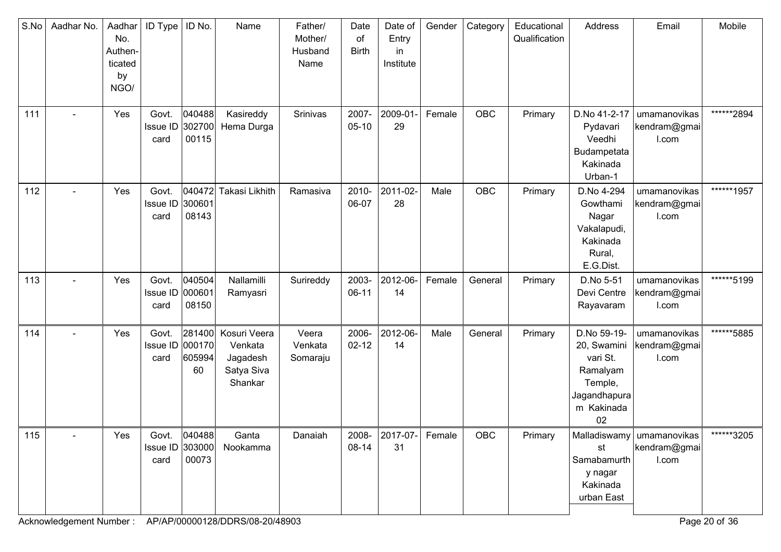| S.No | Aadhar No.     | Aadhar<br>No.<br>Authen-<br>ticated<br>by<br>NGO/ | ID Type                          | ID No.                           | Name                                                         | Father/<br>Mother/<br>Husband<br>Name | Date<br>of<br><b>Birth</b> | Date of<br>Entry<br>in.<br>Institute | Gender | Category   | Educational<br>Qualification | Address                                                                                           | Email                                                | Mobile     |
|------|----------------|---------------------------------------------------|----------------------------------|----------------------------------|--------------------------------------------------------------|---------------------------------------|----------------------------|--------------------------------------|--------|------------|------------------------------|---------------------------------------------------------------------------------------------------|------------------------------------------------------|------------|
| 111  |                | Yes                                               | Govt.<br><b>Issue ID</b><br>card | 040488<br>302700<br>00115        | Kasireddy<br>Hema Durga                                      | Srinivas                              | 2007-<br>$05-10$           | 2009-01-<br>29                       | Female | <b>OBC</b> | Primary                      | D.No 41-2-17<br>Pydavari<br>Veedhi<br>Budampetata<br>Kakinada<br>Urban-1                          | umamanovikas<br>kendram@gmai<br>I.com                | ******2894 |
| 112  |                | Yes                                               | Govt.<br>Issue ID<br>card        | 300601<br>08143                  | 040472 Takasi Likhith                                        | Ramasiva                              | 2010-<br>06-07             | 2011-02-<br>28                       | Male   | OBC        | Primary                      | D.No 4-294<br>Gowthami<br>Nagar<br>Vakalapudi,<br>Kakinada<br>Rural,<br>E.G.Dist.                 | umamanovikas<br>kendram@gmai<br>I.com                | ******1957 |
| 113  |                | Yes                                               | Govt.<br>Issue ID 000601<br>card | 040504<br>08150                  | Nallamilli<br>Ramyasri                                       | Surireddy                             | 2003-<br>$06-11$           | 2012-06-<br>14                       | Female | General    | Primary                      | D.No 5-51<br>Devi Centre<br>Rayavaram                                                             | umamanovikas<br>kendram@gmai<br>I.com                | ******5199 |
| 114  | $\blacksquare$ | Yes                                               | Govt.<br><b>Issue ID</b><br>card | 281400<br>000170<br>605994<br>60 | Kosuri Veera<br>Venkata<br>Jagadesh<br>Satya Siva<br>Shankar | Veera<br>Venkata<br>Somaraju          | 2006-<br>$02 - 12$         | 2012-06-<br>14                       | Male   | General    | Primary                      | D.No 59-19-<br>20, Swamini<br>vari St.<br>Ramalyam<br>Temple,<br>Jagandhapura<br>m Kakinada<br>02 | umamanovikas<br>kendram@gmai<br>I.com                | ******5885 |
| 115  |                | Yes                                               | Issue ID 303000<br>card          | Govt. 040488<br>00073            | Ganta<br>Nookamma                                            | Danaiah                               | 08-14                      | 2008- 2017-07- Female<br>31          |        | OBC        | Primary                      | st<br>Samabamurth<br>y nagar<br>Kakinada<br>urban East                                            | Malladiswamy   umamanovikas<br>kendram@gmai<br>I.com | ******3205 |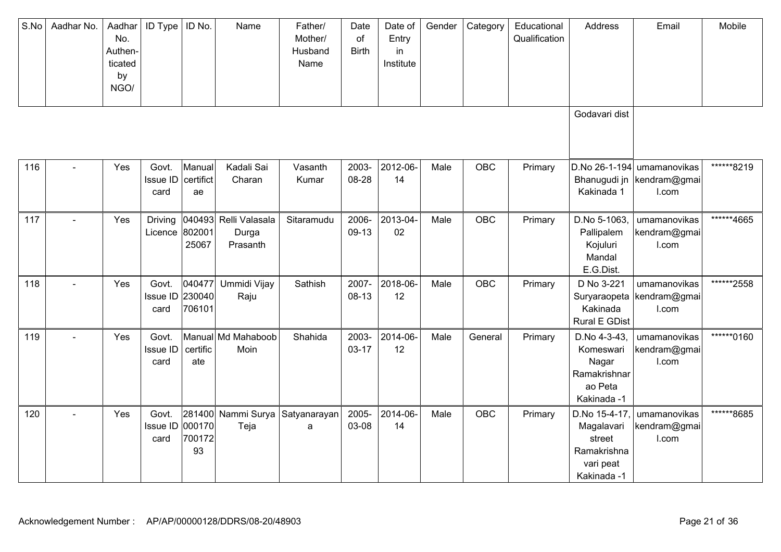| S.No | Aadhar No. | Aadhar<br>No.<br>Authen-<br>ticated<br>by<br>NGO/ | <b>ID Type</b>                           | ID No.                     | Name                                       | Father/<br>Mother/<br>Husband<br>Name | Date<br>of<br><b>Birth</b> | Date of<br>Entry<br>in<br>Institute | Gender | Category   | Educational<br>Qualification | Address                                                                          | Email                                               | Mobile     |
|------|------------|---------------------------------------------------|------------------------------------------|----------------------------|--------------------------------------------|---------------------------------------|----------------------------|-------------------------------------|--------|------------|------------------------------|----------------------------------------------------------------------------------|-----------------------------------------------------|------------|
|      |            |                                                   |                                          |                            |                                            |                                       |                            |                                     |        |            |                              | Godavari dist                                                                    |                                                     |            |
| 116  |            | Yes                                               | Govt.<br>$Is sue ID$   certifict<br>card | Manual<br>ae               | Kadali Sai<br>Charan                       | Vasanth<br>Kumar                      | 2003-<br>08-28             | 2012-06-<br>14                      | Male   | OBC        | Primary                      | Bhanugudi jn<br>Kakinada 1                                                       | D.No 26-1-194 umamanovikas<br>kendram@gmai<br>I.com | ******8219 |
| 117  |            | Yes                                               | <b>Driving</b><br>Licence                | 802001<br>25067            | 040493 Relli Valasala<br>Durga<br>Prasanth | Sitaramudu                            | 2006-<br>09-13             | 2013-04-<br>02                      | Male   | <b>OBC</b> | Primary                      | D.No 5-1063.<br>Pallipalem<br>Kojuluri<br>Mandal<br>E.G.Dist.                    | umamanovikas<br>kendram@gmai<br>I.com               | ******4665 |
| 118  |            | Yes                                               | Govt.<br>Issue ID<br>card                | 040477<br>230040<br>706101 | Ummidi Vijay<br>Raju                       | Sathish                               | 2007-<br>$08-13$           | 2018-06-<br>12                      | Male   | OBC        | Primary                      | D No 3-221<br>Suryaraopeta<br>Kakinada<br><b>Rural E GDist</b>                   | umamanovikas<br>kendram@gmai<br>I.com               | ******2558 |
| 119  |            | Yes                                               | Govt.<br>Issue ID<br>card                | certific<br>ate            | Manual Md Mahaboob<br>Moin                 | Shahida                               | 2003-<br>$03 - 17$         | 2014-06-<br>12                      | Male   | General    | Primary                      | D.No 4-3-43,<br>Komeswari<br>Nagar<br>Ramakrishnar<br>ao Peta<br>Kakinada -1     | umamanovikas<br>kendram@gmai<br>I.com               | ******0160 |
| 120  |            | Yes                                               | Govt.<br>Issue ID<br>card                | 000170<br>700172<br>93     | 281400 Nammi Surya<br>Teja                 | Satyanarayan<br>$\mathsf a$           | 2005-<br>03-08             | 2014-06-<br>14                      | Male   | OBC        | Primary                      | D.No 15-4-17.<br>Magalavari<br>street<br>Ramakrishna<br>vari peat<br>Kakinada -1 | umamanovikas<br>kendram@gmai<br>I.com               | ******8685 |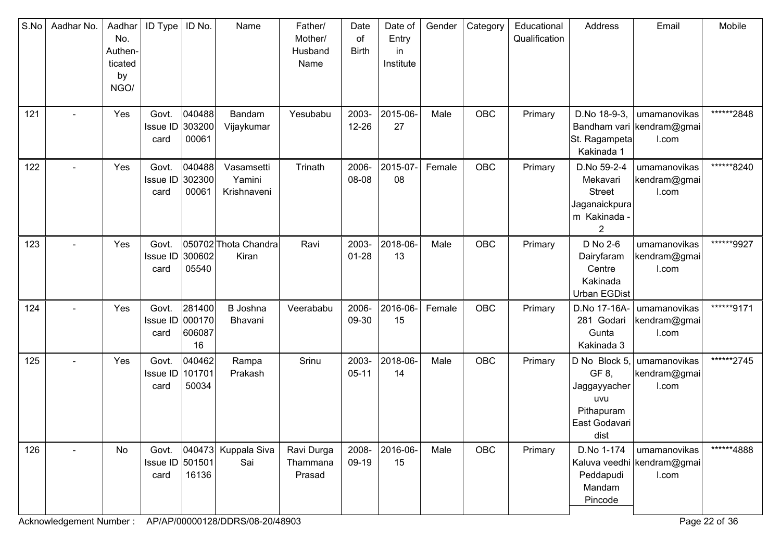| S.No | Aadhar No.               | Aadhar<br>No.<br>Authen-<br>ticated<br>by<br>NGO/ | <b>ID Type</b>                   | ID No.                           | Name                                | Father/<br>Mother/<br>Husband<br>Name | Date<br>of<br><b>Birth</b> | Date of<br>Entry<br>in<br>Institute | Gender | Category   | Educational<br>Qualification | Address                                                                                     | Email                                               | Mobile     |
|------|--------------------------|---------------------------------------------------|----------------------------------|----------------------------------|-------------------------------------|---------------------------------------|----------------------------|-------------------------------------|--------|------------|------------------------------|---------------------------------------------------------------------------------------------|-----------------------------------------------------|------------|
| 121  |                          | Yes                                               | Govt.<br>Issue ID 303200<br>card | 040488<br>00061                  | Bandam<br>Vijaykumar                | Yesubabu                              | 2003-<br>12-26             | 2015-06-<br>27                      | Male   | <b>OBC</b> | Primary                      | D.No 18-9-3,<br>St. Ragampeta<br>Kakinada 1                                                 | umamanovikas<br>Bandham vari kendram@gmai<br>I.com  | ******2848 |
| 122  |                          | Yes                                               | Govt.<br>Issue ID 302300<br>card | 040488<br>00061                  | Vasamsetti<br>Yamini<br>Krishnaveni | Trinath                               | 2006-<br>08-08             | 2015-07-<br>08                      | Female | OBC        | Primary                      | D.No 59-2-4<br>Mekavari<br><b>Street</b><br>Jaganaickpura<br>m Kakinada -<br>$\overline{2}$ | umamanovikas<br>kendram@gmai<br>I.com               | ******8240 |
| 123  | $\blacksquare$           | Yes                                               | Govt.<br>Issue ID<br>card        | 300602<br>05540                  | 050702 Thota Chandra<br>Kiran       | Ravi                                  | 2003-<br>$01 - 28$         | 2018-06-<br>13                      | Male   | OBC        | Primary                      | D No 2-6<br>Dairyfaram<br>Centre<br>Kakinada<br><b>Urban EGDist</b>                         | umamanovikas<br>kendram@gmai<br>I.com               | ******9927 |
| 124  |                          | Yes                                               | Govt.<br>Issue ID<br>card        | 281400<br>000170<br>606087<br>16 | B Joshna<br>Bhavani                 | Veerababu                             | 2006-<br>09-30             | 2016-06-<br>15                      | Female | OBC        | Primary                      | D.No 17-16A-<br>281 Godari<br>Gunta<br>Kakinada 3                                           | umamanovikas<br>kendram@gmai<br>I.com               | ******9171 |
| 125  | $\sim$                   | Yes                                               | Govt.<br>Issue ID<br>card        | 040462<br>101701<br>50034        | Rampa<br>Prakash                    | Srinu                                 | 2003-<br>$05 - 11$         | 2018-06-<br>14                      | Male   | OBC        | Primary                      | D No Block 5,<br>GF 8,<br>Jaggayyacher<br>uvu<br>Pithapuram<br>East Godavari<br>dist        | umamanovikas<br>kendram@gmai<br>I.com               | ******2745 |
| 126  | $\overline{\phantom{0}}$ | No                                                | Govt.<br>Issue ID 501501<br>card | 16136                            | 040473 Kuppala Siva<br>Sai          | Ravi Durga<br>Thammana<br>Prasad      | 2008-<br>09-19             | 2016-06-<br>15                      | Male   | <b>OBC</b> | Primary                      | D.No 1-174<br>Peddapudi<br>Mandam<br>Pincode                                                | umamanovikas<br>Kaluva veedhi kendram@gmai<br>I.com | ******4888 |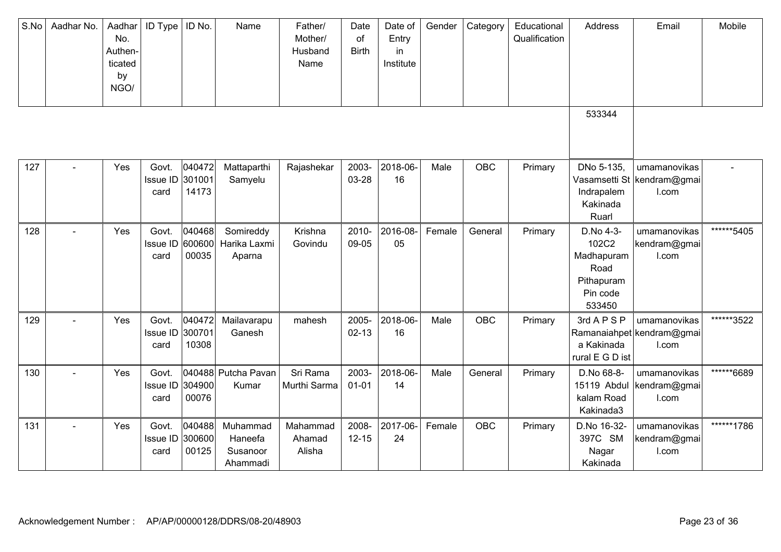| S.No | Aadhar No. | Aadhar<br>No.<br>Authen-<br>ticated<br>by<br>NGO/ | <b>ID Type</b>                   | ID No.                    | Name                                        | Father/<br>Mother/<br>Husband<br>Name | Date<br>of<br><b>Birth</b> | Date of<br>Entry<br>in<br>Institute | Gender | Category   | Educational<br>Qualification | Address                                                                      | Email                                                | Mobile     |
|------|------------|---------------------------------------------------|----------------------------------|---------------------------|---------------------------------------------|---------------------------------------|----------------------------|-------------------------------------|--------|------------|------------------------------|------------------------------------------------------------------------------|------------------------------------------------------|------------|
|      |            |                                                   |                                  |                           |                                             |                                       |                            |                                     |        |            |                              | 533344                                                                       |                                                      |            |
| 127  |            | Yes                                               | Govt.<br>Issue ID<br>card        | 040472<br>301001<br>14173 | Mattaparthi<br>Samyelu                      | Rajashekar                            | 2003-<br>03-28             | 2018-06-<br>16                      | Male   | OBC        | Primary                      | DNo 5-135,<br>Indrapalem<br>Kakinada<br>Ruarl                                | umamanovikas<br>Vasamsetti St  kendram@gmai<br>I.com |            |
| 128  |            | Yes                                               | Govt.<br><b>Issue ID</b><br>card | 040468<br>600600<br>00035 | Somireddy<br>Harika Laxmi<br>Aparna         | Krishna<br>Govindu                    | 2010-<br>09-05             | 2016-08-<br>05                      | Female | General    | Primary                      | D.No 4-3-<br>102C2<br>Madhapuram<br>Road<br>Pithapuram<br>Pin code<br>533450 | umamanovikas<br>kendram@gmai<br>I.com                | ******5405 |
| 129  |            | Yes                                               | Govt.<br>Issue ID<br>card        | 040472<br>300701<br>10308 | Mailavarapu<br>Ganesh                       | mahesh                                | 2005-<br>$02 - 13$         | 2018-06-<br>16                      | Male   | <b>OBC</b> | Primary                      | 3rd A P S P<br>a Kakinada<br>rural E G D ist                                 | umamanovikas<br>Ramanaiahpet kendram@gmai<br>I.com   | ******3522 |
| 130  |            | Yes                                               | Govt.<br>Issue ID<br>card        | 304900<br>00076           | 040488 Putcha Pavan<br>Kumar                | Sri Rama<br>Murthi Sarma              | 2003-<br>$01 - 01$         | 2018-06-<br>14                      | Male   | General    | Primary                      | D.No 68-8-<br>15119 Abdul<br>kalam Road<br>Kakinada3                         | umamanovikas<br>kendram@gmai<br>I.com                | ******6689 |
| 131  |            | Yes                                               | Govt.<br>Issue ID<br>card        | 040488<br>300600<br>00125 | Muhammad<br>Haneefa<br>Susanoor<br>Ahammadi | Mahammad<br>Ahamad<br>Alisha          | 2008-<br>$12 - 15$         | 2017-06-<br>24                      | Female | OBC        | Primary                      | D.No 16-32-<br>397C SM<br>Nagar<br>Kakinada                                  | umamanovikas<br>kendram@gmai<br>I.com                | ******1786 |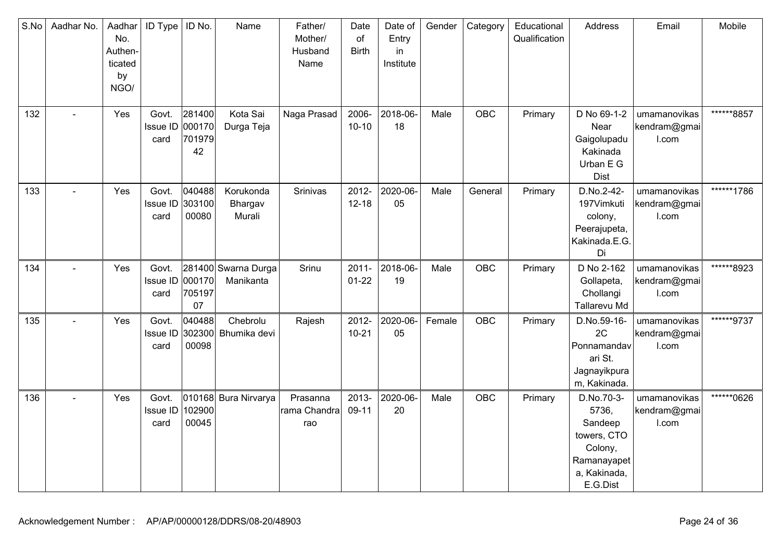| S.No | Aadhar No.     | Aadhar<br>No.<br>Authen-<br>ticated<br>by<br>NGO/ | ID Type                          | ID No.                    | Name                             | Father/<br>Mother/<br>Husband<br>Name | Date<br>of<br><b>Birth</b> | Date of<br>Entry<br>in<br>Institute | Gender | Category   | Educational<br>Qualification | Address                                                                                             | Email                                 | Mobile     |
|------|----------------|---------------------------------------------------|----------------------------------|---------------------------|----------------------------------|---------------------------------------|----------------------------|-------------------------------------|--------|------------|------------------------------|-----------------------------------------------------------------------------------------------------|---------------------------------------|------------|
| 132  |                | Yes                                               | Govt.<br>Issue ID 000170<br>card | 281400<br>701979<br>42    | Kota Sai<br>Durga Teja           | Naga Prasad                           | 2006-<br>$10 - 10$         | 2018-06-<br>18                      | Male   | OBC        | Primary                      | D No 69-1-2<br>Near<br>Gaigolupadu<br>Kakinada<br>Urban E G<br><b>Dist</b>                          | umamanovikas<br>kendram@gmai<br>I.com | ******8857 |
| 133  |                | Yes                                               | Govt.<br>Issue ID<br>card        | 040488<br>303100<br>00080 | Korukonda<br>Bhargav<br>Murali   | Srinivas                              | 2012-<br>$12 - 18$         | 2020-06-<br>05                      | Male   | General    | Primary                      | D.No.2-42-<br>197Vimkuti<br>colony,<br>Peerajupeta,<br>Kakinada.E.G.<br>Di                          | umamanovikas<br>kendram@gmai<br>I.com | ******1786 |
| 134  | $\blacksquare$ | Yes                                               | Govt.<br>Issue ID<br>card        | 000170<br>705197<br>07    | 281400 Swarna Durga<br>Manikanta | Srinu                                 | $2011 -$<br>$01 - 22$      | 2018-06-<br>19                      | Male   | <b>OBC</b> | Primary                      | D No 2-162<br>Gollapeta,<br>Chollangi<br>Tallarevu Md                                               | umamanovikas<br>kendram@gmai<br>I.com | ******8923 |
| 135  |                | Yes                                               | Govt.<br><b>Issue ID</b><br>card | 040488<br>302300<br>00098 | Chebrolu<br>Bhumika devi         | Rajesh                                | 2012-<br>$10 - 21$         | 2020-06-<br>05                      | Female | OBC        | Primary                      | D.No.59-16-<br>2C<br>Ponnamandav<br>ari St.<br>Jagnayikpura<br>m, Kakinada.                         | umamanovikas<br>kendram@gmai<br>I.com | ******9737 |
| 136  |                | Yes                                               | Govt.<br>Issue ID<br>card        | 102900<br>00045           | 010168 Bura Nirvarya             | Prasanna<br>rama Chandra<br>rao       | 2013-<br>09-11             | 2020-06-<br>20                      | Male   | OBC        | Primary                      | D.No.70-3-<br>5736,<br>Sandeep<br>towers, CTO<br>Colony,<br>Ramanayapet<br>a, Kakinada,<br>E.G.Dist | umamanovikas<br>kendram@gmai<br>I.com | ******0626 |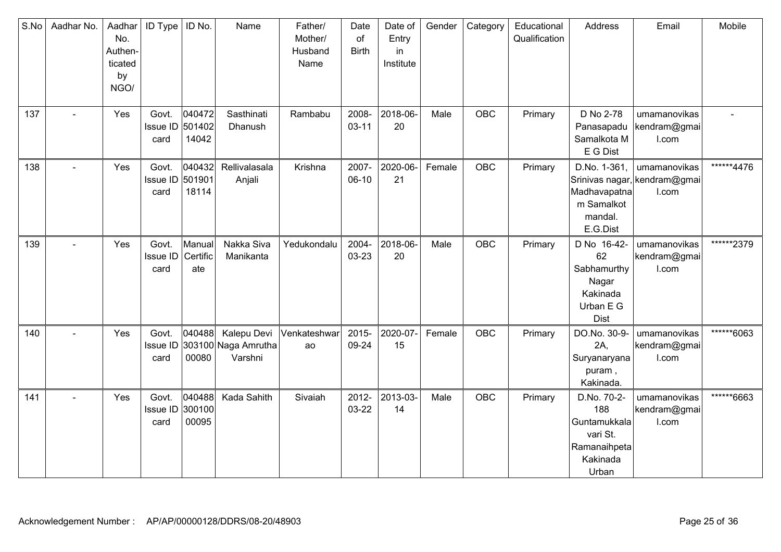| S.No | Aadhar No. | Aadhar<br>No.<br>Authen-<br>ticated<br>by<br>NGO/ | ID Type                          | ID No.                    | Name                                          | Father/<br>Mother/<br>Husband<br>Name | Date<br>of<br><b>Birth</b> | Date of<br>Entry<br>in<br>Institute | Gender | Category   | Educational<br>Qualification | Address                                                                             | Email                                                 | Mobile      |
|------|------------|---------------------------------------------------|----------------------------------|---------------------------|-----------------------------------------------|---------------------------------------|----------------------------|-------------------------------------|--------|------------|------------------------------|-------------------------------------------------------------------------------------|-------------------------------------------------------|-------------|
| 137  |            | Yes                                               | Govt.<br>Issue ID 501402<br>card | 040472<br>14042           | Sasthinati<br>Dhanush                         | Rambabu                               | 2008-<br>$03 - 11$         | 2018-06-<br>20                      | Male   | <b>OBC</b> | Primary                      | D No 2-78<br>Panasapadu<br>Samalkota M<br>E G Dist                                  | umamanovikas<br>kendram@gmai<br>I.com                 |             |
| 138  |            | Yes                                               | Govt.<br>Issue ID 501901<br>card | 040432<br>18114           | Rellivalasala<br>Anjali                       | Krishna                               | 2007-<br>$06-10$           | 2020-06-<br>21                      | Female | OBC        | Primary                      | D.No. 1-361.<br>Madhavapatna<br>m Samalkot<br>mandal.<br>E.G.Dist                   | umamanovikas<br>Srinivas nagar, kendram@gmai<br>I.com | ******4476  |
| 139  |            | Yes                                               | Govt.<br>Issue ID<br>card        | Manual<br>Certific<br>ate | Nakka Siva<br>Manikanta                       | Yedukondalu                           | 2004-<br>03-23             | 2018-06-<br>20                      | Male   | <b>OBC</b> | Primary                      | D No 16-42-<br>62<br>Sabhamurthy<br>Nagar<br>Kakinada<br>Urban E G<br><b>Dist</b>   | umamanovikas<br>kendram@gmai<br>I.com                 | *******2379 |
| 140  | $\sim$     | Yes                                               | Govt.<br>Issue ID<br>card        | 040488<br>00080           | Kalepu Devi<br>303100 Naga Amrutha<br>Varshni | Venkateshwar<br>ao                    | 2015-<br>09-24             | 2020-07-<br>15                      | Female | <b>OBC</b> | Primary                      | DO.No. 30-9-<br>2A,<br>Suryanaryana<br>puram,<br>Kakinada.                          | umamanovikas<br>kendram@gmai<br>I.com                 | ******6063  |
| 141  |            | Yes                                               | Govt.<br>Issue ID 300100<br>card | 040488<br>00095           | Kada Sahith                                   | Sivaiah                               | 2012-<br>03-22             | 2013-03-<br>14                      | Male   | <b>OBC</b> | Primary                      | D.No. 70-2-<br>188<br>Guntamukkala<br>vari St.<br>Ramanaihpeta<br>Kakinada<br>Urban | umamanovikas<br>kendram@gmai<br>I.com                 | ******6663  |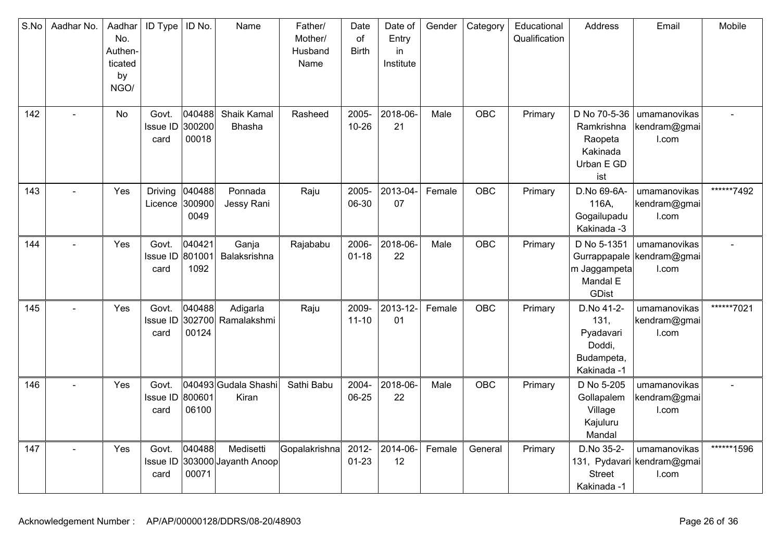| S.No | Aadhar No. | Aadhar<br>No.<br>Authen-<br>ticated<br>by<br>NGO/ | <b>ID Type</b>                   | ID No.                    | Name                              | Father/<br>Mother/<br>Husband<br>Name | Date<br>of<br><b>Birth</b> | Date of<br>Entry<br>in<br>Institute | Gender | Category   | Educational<br>Qualification | Address                                                                | Email                                               | Mobile     |
|------|------------|---------------------------------------------------|----------------------------------|---------------------------|-----------------------------------|---------------------------------------|----------------------------|-------------------------------------|--------|------------|------------------------------|------------------------------------------------------------------------|-----------------------------------------------------|------------|
| 142  |            | <b>No</b>                                         | Govt.<br><b>Issue ID</b><br>card | 040488<br>300200<br>00018 | Shaik Kamal<br>Bhasha             | Rasheed                               | 2005-<br>$10 - 26$         | 2018-06-<br>21                      | Male   | <b>OBC</b> | Primary                      | D No 70-5-36<br>Ramkrishna<br>Raopeta<br>Kakinada<br>Urban E GD<br>ist | umamanovikas<br>kendram@gmai<br>I.com               |            |
| 143  |            | Yes                                               | Driving<br>Licence               | 040488<br>300900<br>0049  | Ponnada<br>Jessy Rani             | Raju                                  | 2005-<br>06-30             | 2013-04-<br>07                      | Female | <b>OBC</b> | Primary                      | D.No 69-6A-<br>116A,<br>Gogailupadu<br>Kakinada -3                     | umamanovikas<br>kendram@gmai<br>I.com               | ******7492 |
| 144  |            | Yes                                               | Govt.<br>Issue ID<br>card        | 040421<br>801001<br>1092  | Ganja<br>Balaksrishna             | Rajababu                              | 2006-<br>$01 - 18$         | 2018-06-<br>22                      | Male   | OBC        | Primary                      | D No 5-1351<br>m Jaggampeta<br>Mandal E<br>GDist                       | umamanovikas<br>Gurrappapale kendram@gmai<br>I.com  |            |
| 145  |            | Yes                                               | Govt.<br>Issue ID<br>card        | 040488<br>302700<br>00124 | Adigarla<br>Ramalakshmi           | Raju                                  | 2009-<br>$11 - 10$         | 2013-12-<br>01                      | Female | <b>OBC</b> | Primary                      | D.No 41-2-<br>131,<br>Pyadavari<br>Doddi,<br>Budampeta,<br>Kakinada -1 | umamanovikas<br>kendram@gmai<br>I.com               | ******7021 |
| 146  |            | Yes                                               | Govt.<br>Issue ID<br>card        | 800601<br>06100           | 040493 Gudala Shashi<br>Kiran     | Sathi Babu                            | 2004-<br>06-25             | 2018-06-<br>22                      | Male   | <b>OBC</b> | Primary                      | D No 5-205<br>Gollapalem<br>Village<br>Kajuluru<br>Mandal              | umamanovikas<br>kendram@gmai<br>I.com               |            |
| 147  |            | Yes                                               | Govt.<br>Issue ID<br>card        | 040488<br>00071           | Medisetti<br>303000 Jayanth Anoop | Gopalakrishna                         | 2012-<br>$01 - 23$         | 2014-06-<br>12                      | Female | General    | Primary                      | D.No 35-2-<br><b>Street</b><br>Kakinada -1                             | umamanovikas<br>131, Pydavari kendram@gmai<br>I.com | ******1596 |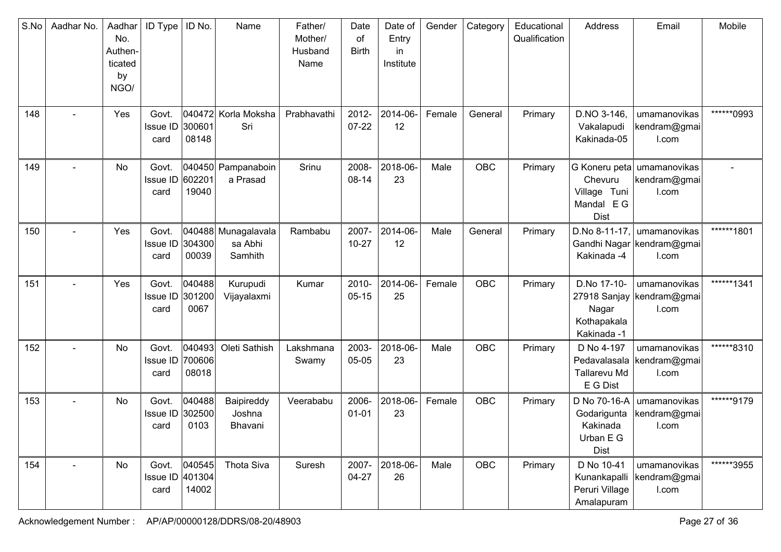| S.No | Aadhar No.     | Aadhar<br>No.<br>Authen-<br>ticated<br>by<br>NGO/ | <b>ID Type</b>                   | ID No.                     | Name                                      | Father/<br>Mother/<br>Husband<br>Name | Date<br>of<br><b>Birth</b> | Date of<br>Entry<br>in<br>Institute | Gender | Category   | Educational<br>Qualification | Address                                                             | Email                                                | Mobile     |
|------|----------------|---------------------------------------------------|----------------------------------|----------------------------|-------------------------------------------|---------------------------------------|----------------------------|-------------------------------------|--------|------------|------------------------------|---------------------------------------------------------------------|------------------------------------------------------|------------|
| 148  |                | Yes                                               | Govt.<br><b>Issue ID</b><br>card | 300601<br>08148            | 040472 Korla Moksha<br>Sri                | Prabhavathi                           | 2012-<br>$07 - 22$         | 2014-06-<br>12                      | Female | General    | Primary                      | D.NO 3-146,<br>Vakalapudi<br>Kakinada-05                            | umamanovikas<br>kendram@gmai<br>I.com                | ******0993 |
| 149  |                | No                                                | Govt.<br><b>Issue ID</b><br>card | 602201<br>19040            | 040450 Pampanaboin<br>a Prasad            | Srinu                                 | 2008-<br>08-14             | 2018-06-<br>23                      | Male   | <b>OBC</b> | Primary                      | Chevuru<br>Village Tuni<br>Mandal EG<br><b>Dist</b>                 | G Koneru peta umamanovikas<br>kendram@gmai<br>I.com  |            |
| 150  |                | Yes                                               | Govt.<br><b>Issue ID</b><br>card | 304300<br>00039            | 040488 Munagalavala<br>sa Abhi<br>Samhith | Rambabu                               | 2007-<br>$10 - 27$         | 2014-06-<br>12                      | Male   | General    | Primary                      | D.No 8-11-17,<br>Gandhi Nagar<br>Kakinada -4                        | umamanovikas<br>kendram@gmai<br>I.com                | ******1801 |
| 151  | $\blacksquare$ | Yes                                               | Govt.<br><b>Issue ID</b><br>card | 040488<br>301200<br>0067   | Kurupudi<br>Vijayalaxmi                   | Kumar                                 | 2010-<br>$05 - 15$         | 2014-06-<br>25                      | Female | <b>OBC</b> | Primary                      | D.No 17-10-<br>27918 Sanjay<br>Nagar<br>Kothapakala<br>Kakinada -1  | umamanovikas<br>kendram@gmai<br>I.com                | ******1341 |
| 152  |                | No                                                | Govt.<br>Issue ID<br>card        | 040493 <br>700606<br>08018 | Oleti Sathish                             | Lakshmana<br>Swamy                    | 2003-<br>05-05             | 2018-06-<br>23                      | Male   | OBC        | Primary                      | D No 4-197<br>Tallarevu Md<br>E G Dist                              | umamanovikas<br>Pedavalasala   kendram@gmai<br>I.com | ******8310 |
| 153  |                | No                                                | Govt.<br>Issue ID<br>card        | 040488<br>302500<br>0103   | Baipireddy<br>Joshna<br>Bhavani           | Veerababu                             | 2006-<br>$01 - 01$         | 2018-06-<br>23                      | Female | <b>OBC</b> | Primary                      | D No 70-16-A<br>Godarigunta<br>Kakinada<br>Urban E G<br><b>Dist</b> | umamanovikas<br>kendram@gmai<br>I.com                | ******9179 |
| 154  |                | No                                                | Govt.<br>Issue ID 401304<br>card | 040545<br>14002            | Thota Siva                                | Suresh                                | 2007-<br>$04 - 27$         | 2018-06-<br>26                      | Male   | <b>OBC</b> | Primary                      | D No 10-41<br>Kunankapalli<br>Peruri Village<br>Amalapuram          | umamanovikas<br>kendram@gmai<br>I.com                | ******3955 |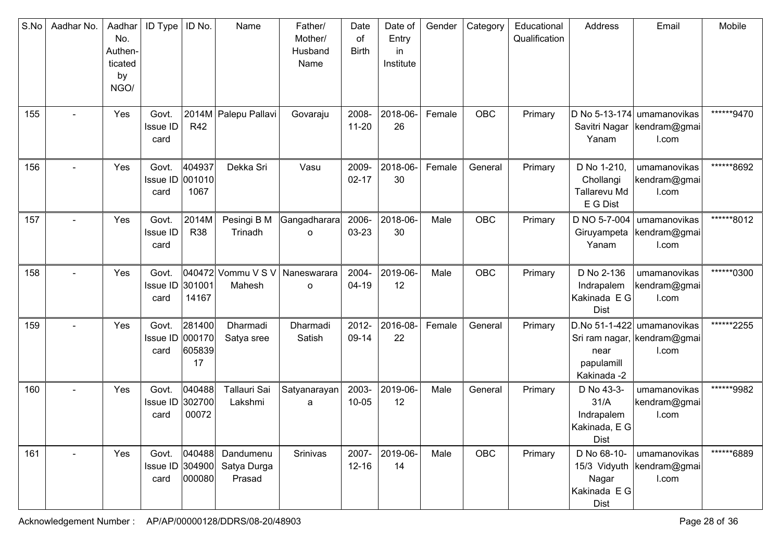| S.No | Aadhar No. | Aadhar<br>No.<br>Authen-<br>ticated<br>by<br>NGO/ | <b>ID Type</b>                   | ID No.                           | Name                               | Father/<br>Mother/<br>Husband<br>Name | Date<br>of<br><b>Birth</b> | Date of<br>Entry<br>in.<br>Institute | Gender | Category   | Educational<br>Qualification | Address                                                             | Email                                                              | Mobile     |
|------|------------|---------------------------------------------------|----------------------------------|----------------------------------|------------------------------------|---------------------------------------|----------------------------|--------------------------------------|--------|------------|------------------------------|---------------------------------------------------------------------|--------------------------------------------------------------------|------------|
| 155  |            | Yes                                               | Govt.<br>Issue ID<br>card        | <b>R42</b>                       | 2014M Palepu Pallavi               | Govaraju                              | 2008-<br>$11 - 20$         | 2018-06-<br>26                       | Female | <b>OBC</b> | Primary                      | Savitri Nagar<br>Yanam                                              | D No 5-13-174 umamanovikas<br>kendram@gmai<br>I.com                | ******9470 |
| 156  |            | Yes                                               | Govt.<br>Issue ID 001010<br>card | 404937<br>1067                   | Dekka Sri                          | Vasu                                  | 2009-<br>$02 - 17$         | 2018-06-<br>30                       | Female | General    | Primary                      | D No 1-210,<br>Chollangi<br>Tallarevu Md<br>E G Dist                | umamanovikas<br>kendram@gmai<br>I.com                              | ******8692 |
| 157  |            | Yes                                               | Govt.<br>Issue ID<br>card        | 2014M<br><b>R38</b>              | Pesingi B M<br>Trinadh             | Gangadharara<br>o                     | 2006-<br>03-23             | 2018-06-<br>30                       | Male   | OBC        | Primary                      | D NO 5-7-004<br>Giruyampeta<br>Yanam                                | umamanovikas<br>kendram@gmai<br>I.com                              | ******8012 |
| 158  |            | Yes                                               | Govt.<br>Issue ID 301001<br>card | 14167                            | 040472 Vommu V S V<br>Mahesh       | Naneswarara<br>$\circ$                | 2004-<br>$04-19$           | 2019-06-<br>12                       | Male   | <b>OBC</b> | Primary                      | D No 2-136<br>Indrapalem<br>Kakinada E G<br><b>Dist</b>             | umamanovikas<br>kendram@gmai<br>I.com                              | ******0300 |
| 159  |            | Yes                                               | Govt.<br>Issue ID<br>card        | 281400<br>000170<br>605839<br>17 | Dharmadi<br>Satya sree             | Dharmadi<br>Satish                    | 2012-<br>09-14             | 2016-08-<br>22                       | Female | General    | Primary                      | near<br>papulamill<br>Kakinada -2                                   | D.No 51-1-422 umamanovikas<br>Sri ram nagar, kendram@gmai<br>I.com | ******2255 |
| 160  |            | Yes                                               | Govt.<br>Issue ID 302700<br>card | 040488<br>00072                  | Tallauri Sai<br>Lakshmi            | Satyanarayan<br>a                     | 2003-<br>$10 - 05$         | 2019-06-<br>12                       | Male   | General    | Primary                      | D No 43-3-<br>31/A<br>Indrapalem<br>Kakinada, E G<br><b>Dist</b>    | umamanovikas<br>kendram@gmai<br>I.com                              | ******9982 |
| 161  |            | Yes                                               | Govt.<br>Issue ID 304900<br>card | 040488<br>000080                 | Dandumenu<br>Satya Durga<br>Prasad | Srinivas                              | 2007-<br>$12 - 16$         | 2019-06-<br>14                       | Male   | OBC        | Primary                      | D No 68-10-<br>15/3 Vidyuth<br>Nagar<br>Kakinada E G<br><b>Dist</b> | umamanovikas<br>kendram@gmai<br>I.com                              | ******6889 |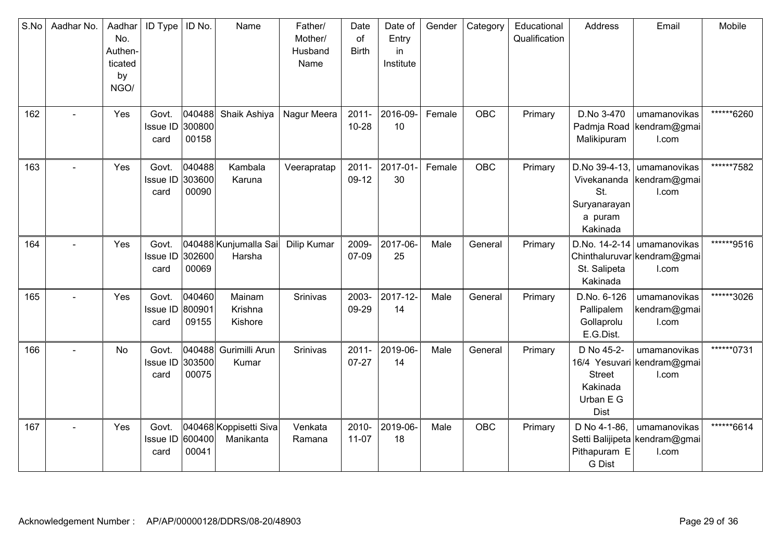| S.No | Aadhar No. | Aadhar<br>No.<br>Authen-<br>ticated<br>by<br>NGO/ | <b>ID Type</b>                   | ID No.                    | Name                                | Father/<br>Mother/<br>Husband<br>Name | Date<br>of<br><b>Birth</b> | Date of<br>Entry<br>in<br>Institute | Gender | Category | Educational<br>Qualification | Address                                                                    | Email                                                  | Mobile     |
|------|------------|---------------------------------------------------|----------------------------------|---------------------------|-------------------------------------|---------------------------------------|----------------------------|-------------------------------------|--------|----------|------------------------------|----------------------------------------------------------------------------|--------------------------------------------------------|------------|
| 162  |            | Yes                                               | Govt.<br>Issue ID 300800<br>card | 040488 <br>00158          | Shaik Ashiya                        | Nagur Meera                           | $2011 -$<br>10-28          | 2016-09-<br>10                      | Female | OBC      | Primary                      | D.No 3-470<br>Malikipuram                                                  | umamanovikas<br>Padmja Road   kendram@gmai<br>I.com    | ******6260 |
| 163  |            | Yes                                               | Govt.<br><b>Issue ID</b><br>card | 040488<br>303600<br>00090 | Kambala<br>Karuna                   | Veerapratap                           | $2011 -$<br>09-12          | 2017-01<br>30                       | Female | OBC      | Primary                      | D.No 39-4-13,<br>Vivekananda<br>St.<br>Suryanarayan<br>a puram<br>Kakinada | umamanovikas<br>kendram@gmai<br>I.com                  | ******7582 |
| 164  |            | Yes                                               | Govt.<br>Issue ID<br>card        | 302600<br>00069           | 040488 Kunjumalla Sai<br>Harsha     | Dilip Kumar                           | 2009-<br>07-09             | 2017-06-<br>25                      | Male   | General  | Primary                      | D.No. $14-2-14$<br>St. Salipeta<br>Kakinada                                | umamanovikas<br>Chinthaluruvar kendram@gmai<br>I.com   | ******9516 |
| 165  |            | Yes                                               | Govt.<br>Issue ID 800901<br>card | 040460<br>09155           | Mainam<br>Krishna<br>Kishore        | Srinivas                              | 2003-<br>09-29             | 2017-12-<br>14                      | Male   | General  | Primary                      | D.No. 6-126<br>Pallipalem<br>Gollaprolu<br>E.G.Dist.                       | umamanovikas<br>kendram@gmai<br>I.com                  | ******3026 |
| 166  |            | No                                                | Govt.<br><b>Issue ID</b><br>card | 040488<br>303500<br>00075 | Gurimilli Arun<br>Kumar             | <b>Srinivas</b>                       | $2011 -$<br>$07 - 27$      | 2019-06-<br>14                      | Male   | General  | Primary                      | D No 45-2-<br><b>Street</b><br>Kakinada<br>Urban E G<br><b>Dist</b>        | umamanovikas<br>16/4 Yesuvari kendram@gmai<br>I.com    | ******0731 |
| 167  |            | Yes                                               | Govt.<br>Issue ID<br>card        | 600400<br>00041           | 040468 Koppisetti Siva<br>Manikanta | Venkata<br>Ramana                     | 2010-<br>$11-07$           | 2019-06-<br>18                      | Male   | OBC      | Primary                      | D No 4-1-86,<br>Pithapuram E<br><b>G</b> Dist                              | umamanovikas<br>Setti Balijipeta kendram@gmai<br>I.com | ******6614 |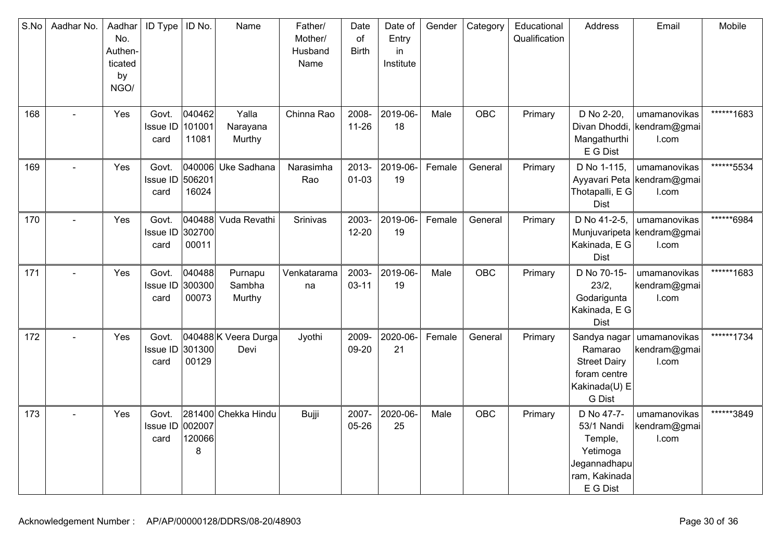| S.No | Aadhar No. | Aadhar<br>No.<br>Authen-<br>ticated<br>by<br>NGO/ | <b>ID Type</b>                   | ID No.                    | Name                        | Father/<br>Mother/<br>Husband<br>Name | Date<br>of<br><b>Birth</b> | Date of<br>Entry<br>in<br>Institute | Gender | Category   | Educational<br>Qualification | Address                                                                                      | Email                                               | Mobile     |
|------|------------|---------------------------------------------------|----------------------------------|---------------------------|-----------------------------|---------------------------------------|----------------------------|-------------------------------------|--------|------------|------------------------------|----------------------------------------------------------------------------------------------|-----------------------------------------------------|------------|
| 168  |            | Yes                                               | Govt.<br>Issue ID<br>card        | 040462<br>101001<br>11081 | Yalla<br>Narayana<br>Murthy | Chinna Rao                            | 2008-<br>$11 - 26$         | 2019-06-<br>18                      | Male   | OBC        | Primary                      | D No 2-20,<br>Divan Dhoddi,<br>Mangathurthi<br>E G Dist                                      | umamanovikas<br>kendram@gmai<br>I.com               | ******1683 |
| 169  |            | Yes                                               | Govt.<br>Issue ID<br>card        | 506201<br>16024           | 040006 Uke Sadhana          | Narasimha<br>Rao                      | 2013-<br>$01 - 03$         | 2019-06-<br>19                      | Female | General    | Primary                      | D No 1-115,<br>Thotapalli, E G<br><b>Dist</b>                                                | umamanovikas<br>Ayyavari Peta kendram@gmai<br>I.com | ******5534 |
| 170  |            | Yes                                               | Govt.<br>Issue ID<br>card        | 040488<br>302700<br>00011 | Vuda Revathi                | Srinivas                              | 2003-<br>$12 - 20$         | 2019-06-<br>19                      | Female | General    | Primary                      | D No 41-2-5,<br>Kakinada, E G<br><b>Dist</b>                                                 | umamanovikas<br>Munjuvaripeta kendram@gmai<br>I.com | ******6984 |
| 171  |            | Yes                                               | Govt.<br>Issue ID<br>card        | 040488<br>300300<br>00073 | Purnapu<br>Sambha<br>Murthy | Venkatarama<br>na                     | 2003-<br>$03 - 11$         | 2019-06-<br>19                      | Male   | <b>OBC</b> | Primary                      | D No 70-15-<br>23/2,<br>Godarigunta<br>Kakinada, E G<br>Dist                                 | umamanovikas<br>kendram@gmai<br>I.com               | ******1683 |
| 172  |            | Yes                                               | Govt.<br>Issue ID 301300<br>card | 00129                     | 040488K Veera Durga<br>Devi | Jyothi                                | 2009-<br>09-20             | 2020-06-<br>21                      | Female | General    | Primary                      | Sandya nagar<br>Ramarao<br><b>Street Dairy</b><br>foram centre<br>Kakinada(U) E<br>G Dist    | umamanovikas<br>kendram@gmai<br>I.com               | ******1734 |
| 173  |            | Yes                                               | Govt.<br>Issue ID 002007<br>card | 120066<br>8               | 281400 Chekka Hindu         | Bujji                                 | 2007-<br>05-26             | 2020-06-<br>25                      | Male   | <b>OBC</b> | Primary                      | D No 47-7-<br>53/1 Nandi<br>Temple,<br>Yetimoga<br>Jegannadhapu<br>ram, Kakinada<br>E G Dist | umamanovikas<br>kendram@gmai<br>I.com               | ******3849 |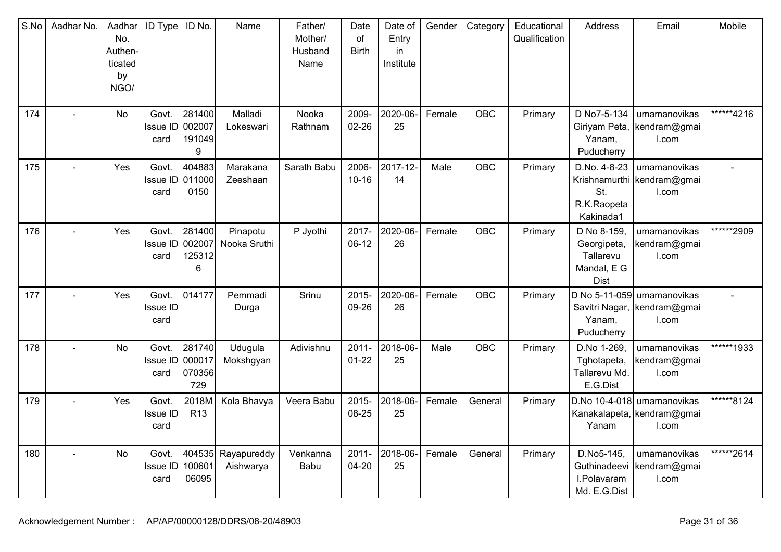| S.No | Aadhar No. | Aadhar<br>No.<br>Authen-<br>ticated<br>by<br>NGO/ | ID Type                          | ID No.                            | Name                     | Father/<br>Mother/<br>Husband<br>Name | Date<br>of<br><b>Birth</b> | Date of<br>Entry<br>in<br>Institute | Gender | Category   | Educational<br>Qualification | Address                                                               | Email                                                             | Mobile      |
|------|------------|---------------------------------------------------|----------------------------------|-----------------------------------|--------------------------|---------------------------------------|----------------------------|-------------------------------------|--------|------------|------------------------------|-----------------------------------------------------------------------|-------------------------------------------------------------------|-------------|
| 174  |            | No                                                | Govt.<br>Issue ID 002007<br>card | 281400<br>191049<br>9             | Malladi<br>Lokeswari     | Nooka<br>Rathnam                      | 2009-<br>$02 - 26$         | 2020-06-<br>25                      | Female | OBC        | Primary                      | D No7-5-134<br>Giriyam Peta,<br>Yanam,<br>Puducherry                  | umamanovikas<br>kendram@gmai<br>I.com                             | ******4216  |
| 175  |            | Yes                                               | Govt.<br>Issue ID 011000<br>card | 404883<br>0150                    | Marakana<br>Zeeshaan     | Sarath Babu                           | 2006-<br>$10 - 16$         | 2017-12-<br>14                      | Male   | OBC        | Primary                      | D.No. 4-8-23<br>St.<br>R.K.Raopeta<br>Kakinada1                       | umamanovikas<br>Krishnamurthi kendram@gmai<br>I.com               |             |
| 176  |            | Yes                                               | Govt.<br>Issue ID<br>card        | 281400<br>002007<br>125312<br>6   | Pinapotu<br>Nooka Sruthi | P Jyothi                              | 2017-<br>$06-12$           | 2020-06-<br>26                      | Female | OBC        | Primary                      | D No 8-159,<br>Georgipeta,<br>Tallarevu<br>Mandal, E G<br><b>Dist</b> | umamanovikas<br>kendram@gmai<br>I.com                             | ******2909  |
| 177  |            | Yes                                               | Govt.<br><b>Issue ID</b><br>card | 014177                            | Pemmadi<br>Durga         | Srinu                                 | 2015-<br>09-26             | 2020-06-<br>26                      | Female | <b>OBC</b> | Primary                      | Savitri Nagar,<br>Yanam,<br>Puducherry                                | D No 5-11-059 umamanovikas<br>kendram@gmai<br>I.com               |             |
| 178  |            | No                                                | Govt.<br><b>Issue ID</b><br>card | 281740<br>000017<br>070356<br>729 | Udugula<br>Mokshgyan     | Adivishnu                             | $2011 -$<br>$01 - 22$      | 2018-06-<br>25                      | Male   | OBC        | Primary                      | D.No 1-269,<br>Tghotapeta,<br>Tallarevu Md.<br>E.G.Dist               | umamanovikas<br>kendram@gmai<br>I.com                             | ******1933  |
| 179  |            | Yes                                               | Govt.<br>Issue ID<br>card        | 2018M<br><b>R13</b>               | Kola Bhavya              | Veera Babu                            | 2015-<br>08-25             | 2018-06-<br>25                      | Female | General    | Primary                      | Yanam                                                                 | D.No 10-4-018 umamanovikas<br>Kanakalapeta, kendram@gmai<br>I.com | ******8124  |
| 180  |            | No                                                | Govt.<br>Issue ID<br>card        | 404535<br>100601<br>06095         | Rayapureddy<br>Aishwarya | Venkanna<br>Babu                      | $2011 -$<br>$04 - 20$      | 2018-06-<br>25                      | Female | General    | Primary                      | D.No5-145,<br>Guthinadeevi<br>I.Polavaram<br>Md. E.G.Dist             | umamanovikas<br>kendram@gmai<br>I.com                             | *******2614 |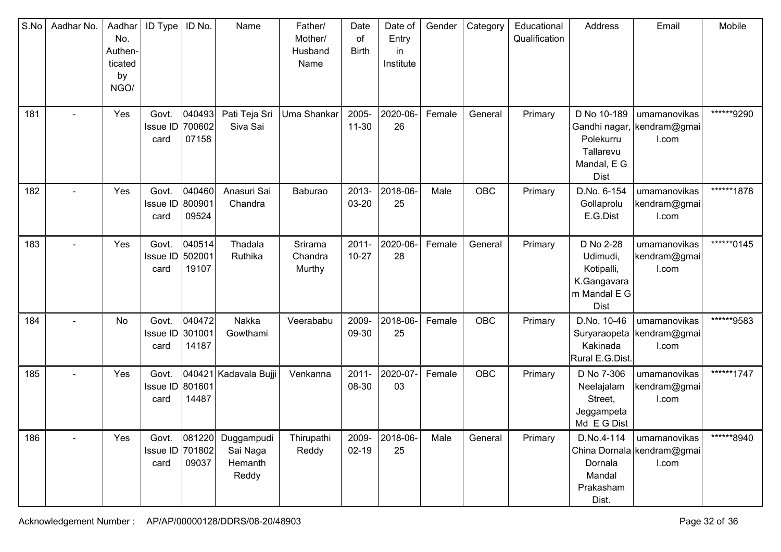| S.No | Aadhar No.     | Aadhar<br>No.<br>Authen-<br>ticated<br>by<br>NGO/ | <b>ID Type</b>                   | ID No.                    | Name                                       | Father/<br>Mother/<br>Husband<br>Name | Date<br>of<br><b>Birth</b> | Date of<br>Entry<br>in<br>Institute | Gender | Category | Educational<br>Qualification | Address                                                                           | Email                                                | Mobile     |
|------|----------------|---------------------------------------------------|----------------------------------|---------------------------|--------------------------------------------|---------------------------------------|----------------------------|-------------------------------------|--------|----------|------------------------------|-----------------------------------------------------------------------------------|------------------------------------------------------|------------|
| 181  |                | Yes                                               | Govt.<br><b>Issue ID</b><br>card | 040493<br>700602<br>07158 | Pati Teja Sri<br>Siva Sai                  | Uma Shankar                           | 2005-<br>$11 - 30$         | 2020-06-<br>26                      | Female | General  | Primary                      | D No 10-189<br>Polekurru<br>Tallarevu<br>Mandal, E G<br><b>Dist</b>               | umamanovikas<br>Gandhi nagar, kendram@gmai<br>I.com  | ******9290 |
| 182  |                | Yes                                               | Govt.<br>Issue ID<br>card        | 040460<br>800901<br>09524 | Anasuri Sai<br>Chandra                     | Baburao                               | 2013-<br>03-20             | 2018-06-<br>25                      | Male   | OBC      | Primary                      | D.No. 6-154<br>Gollaprolu<br>E.G.Dist                                             | umamanovikas<br>kendram@gmai<br>I.com                | ******1878 |
| 183  | $\blacksquare$ | Yes                                               | Govt.<br><b>Issue ID</b><br>card | 040514<br>502001<br>19107 | Thadala<br>Ruthika                         | Srirama<br>Chandra<br>Murthy          | $2011 -$<br>$10 - 27$      | 2020-06-<br>28                      | Female | General  | Primary                      | D No 2-28<br>Udimudi,<br>Kotipalli,<br>K.Gangavara<br>m Mandal E G<br><b>Dist</b> | umamanovikas<br>kendram@gmai<br>I.com                | ******0145 |
| 184  |                | No                                                | Govt.<br>Issue ID 301001<br>card | 040472<br>14187           | Nakka<br>Gowthami                          | Veerababu                             | 2009-<br>09-30             | 2018-06-<br>25                      | Female | OBC      | Primary                      | D.No. 10-46<br>Kakinada<br>Rural E.G.Dist.                                        | umamanovikas<br>Suryaraopeta   kendram@gmai<br>I.com | ******9583 |
| 185  |                | Yes                                               | Govt.<br>Issue ID 801601<br>card | 14487                     | 040421 Kadavala Bujji                      | Venkanna                              | $2011 -$<br>08-30          | 2020-07-<br>03                      | Female | OBC      | Primary                      | D No 7-306<br>Neelajalam<br>Street,<br>Jeggampeta<br>Md E G Dist                  | umamanovikas<br>kendram@gmai<br>I.com                | ******1747 |
| 186  |                | Yes                                               | Govt.<br>Issue ID 701802<br>card | 081220 <br>09037          | Duggampudi<br>Sai Naga<br>Hemanth<br>Reddy | Thirupathi<br>Reddy                   | 2009-<br>$02 - 19$         | 2018-06-<br>25                      | Male   | General  | Primary                      | D.No.4-114<br>Dornala<br>Mandal<br>Prakasham<br>Dist.                             | umamanovikas<br>China Dornala kendram@gmai<br>I.com  | ******8940 |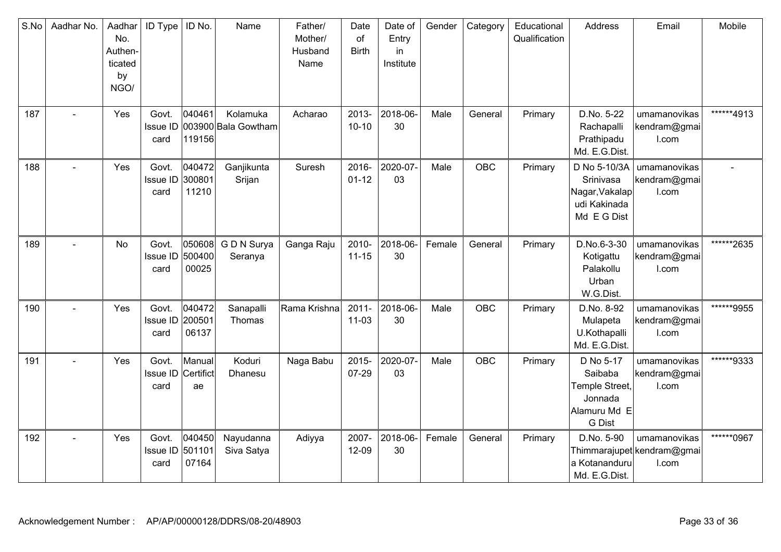| S.No | Aadhar No. | Aadhar<br>No.<br>Authen-<br>ticated<br>by<br>NGO/ | ID Type                   | ID No.                    | Name                            | Father/<br>Mother/<br>Husband<br>Name | Date<br>of<br><b>Birth</b> | Date of<br>Entry<br>in<br>Institute | Gender | Category | Educational<br>Qualification | Address                                                                            | Email                                               | Mobile     |
|------|------------|---------------------------------------------------|---------------------------|---------------------------|---------------------------------|---------------------------------------|----------------------------|-------------------------------------|--------|----------|------------------------------|------------------------------------------------------------------------------------|-----------------------------------------------------|------------|
| 187  |            | Yes                                               | Govt.<br>Issue ID<br>card | 040461<br>119156          | Kolamuka<br>003900 Bala Gowtham | Acharao                               | 2013-<br>$10 - 10$         | 2018-06-<br>30                      | Male   | General  | Primary                      | D.No. 5-22<br>Rachapalli<br>Prathipadu<br>Md. E.G.Dist.                            | umamanovikas<br>kendram@gmai<br>I.com               | ******4913 |
| 188  |            | Yes                                               | Govt.<br>Issue ID<br>card | 040472<br>300801<br>11210 | Ganjikunta<br>Srijan            | Suresh                                | 2016-<br>$01 - 12$         | 2020-07-<br>03                      | Male   | OBC      | Primary                      | D No 5-10/3A<br>Srinivasa<br>Nagar, Vakalap<br>udi Kakinada<br>Md E G Dist         | umamanovikas<br>kendram@gmai<br>I.com               |            |
| 189  |            | No                                                | Govt.<br>Issue ID<br>card | 050608<br>500400<br>00025 | G D N Surya<br>Seranya          | Ganga Raju                            | 2010-<br>$11 - 15$         | 2018-06-<br>30                      | Female | General  | Primary                      | D.No.6-3-30<br>Kotigattu<br>Palakollu<br>Urban<br>W.G.Dist.                        | umamanovikas<br>kendram@gmai<br>I.com               | ******2635 |
| 190  |            | Yes                                               | Govt.<br>Issue ID<br>card | 040472<br>200501<br>06137 | Sanapalli<br>Thomas             | Rama Krishna                          | $2011 -$<br>$11 - 03$      | 2018-06-<br>30                      | Male   | OBC      | Primary                      | D.No. 8-92<br>Mulapeta<br>U.Kothapalli<br>Md. E.G.Dist.                            | umamanovikas<br>kendram@gmai<br>I.com               | ******9955 |
| 191  |            | Yes                                               | Govt.<br>Issue ID<br>card | Manual<br>Certifict<br>ae | Koduri<br>Dhanesu               | Naga Babu                             | 2015-<br>07-29             | 2020-07-<br>03                      | Male   | OBC      | Primary                      | D No 5-17<br>Saibaba<br>Temple Street,<br>Jonnada<br>Alamuru Md E<br><b>G</b> Dist | umamanovikas<br>kendram@gmai<br>I.com               | ******9333 |
| 192  | $\sim$     | Yes                                               | Govt.<br>Issue ID<br>card | 040450<br>501101<br>07164 | Nayudanna<br>Siva Satya         | Adiyya                                | 2007-<br>12-09             | 2018-06-<br>30                      | Female | General  | Primary                      | D.No. 5-90<br>a Kotananduru<br>Md. E.G.Dist.                                       | umamanovikas<br>Thimmarajupet kendram@gmai<br>I.com | ******0967 |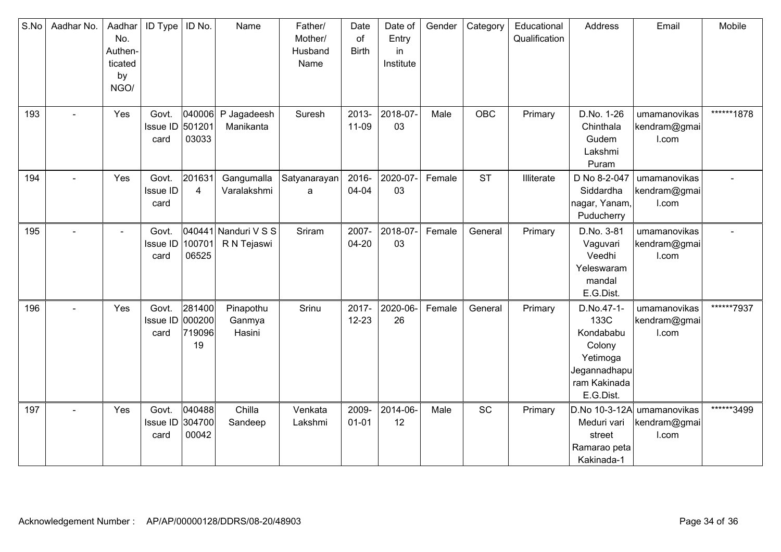| S.No | Aadhar No.     | Aadhar<br>No.<br>Authen-<br>ticated<br>by<br>NGO/ | ID Type                          | ID No.                           | Name                                | Father/<br>Mother/<br>Husband<br>Name | Date<br>of<br><b>Birth</b> | Date of<br>Entry<br>in<br>Institute | Gender | Category   | Educational<br>Qualification | Address                                                                                            | Email                                 | Mobile     |
|------|----------------|---------------------------------------------------|----------------------------------|----------------------------------|-------------------------------------|---------------------------------------|----------------------------|-------------------------------------|--------|------------|------------------------------|----------------------------------------------------------------------------------------------------|---------------------------------------|------------|
| 193  |                | Yes                                               | Govt.<br><b>Issue ID</b><br>card | 040006<br>501201<br>03033        | P Jagadeesh<br>Manikanta            | Suresh                                | 2013-<br>11-09             | 2018-07-<br>03                      | Male   | <b>OBC</b> | Primary                      | D.No. 1-26<br>Chinthala<br>Gudem<br>Lakshmi<br>Puram                                               | umamanovikas<br>kendram@gmai<br>I.com | ******1878 |
| 194  |                | Yes                                               | Govt.<br><b>Issue ID</b><br>card | 201631<br>$\overline{4}$         | Gangumalla<br>Varalakshmi           | Satyanarayan<br>a                     | 2016-<br>04-04             | 2020-07-<br>03                      | Female | <b>ST</b>  | Illiterate                   | D No 8-2-047<br>Siddardha<br>nagar, Yanam,<br>Puducherry                                           | umamanovikas<br>kendram@gmai<br>I.com |            |
| 195  |                | $\blacksquare$                                    | Govt.<br>Issue ID<br>card        | 100701<br>06525                  | 040441 Nanduri V S S<br>R N Tejaswi | Sriram                                | 2007-<br>$04 - 20$         | 2018-07-<br>03                      | Female | General    | Primary                      | D.No. 3-81<br>Vaguvari<br>Veedhi<br>Yeleswaram<br>mandal<br>E.G.Dist.                              | umamanovikas<br>kendram@gmai<br>I.com |            |
| 196  | $\sim$         | Yes                                               | Govt.<br>Issue ID<br>card        | 281400<br>000200<br>719096<br>19 | Pinapothu<br>Ganmya<br>Hasini       | Srinu                                 | 2017-<br>$12 - 23$         | 2020-06-<br>26                      | Female | General    | Primary                      | D.No.47-1-<br>133C<br>Kondababu<br>Colony<br>Yetimoga<br>Jegannadhapu<br>ram Kakinada<br>E.G.Dist. | umamanovikas<br>kendram@gmai<br>I.com | ******7937 |
| 197  | $\blacksquare$ | Yes                                               | Govt.<br>Issue ID<br>card        | 040488<br>304700<br>00042        | Chilla<br>Sandeep                   | Venkata<br>Lakshmi                    | 2009-<br>$01 - 01$         | 2014-06-<br>12                      | Male   | <b>SC</b>  | Primary                      | D.No 10-3-12A<br>Meduri vari<br>street<br>Ramarao peta<br>Kakinada-1                               | umamanovikas<br>kendram@gmai<br>I.com | ******3499 |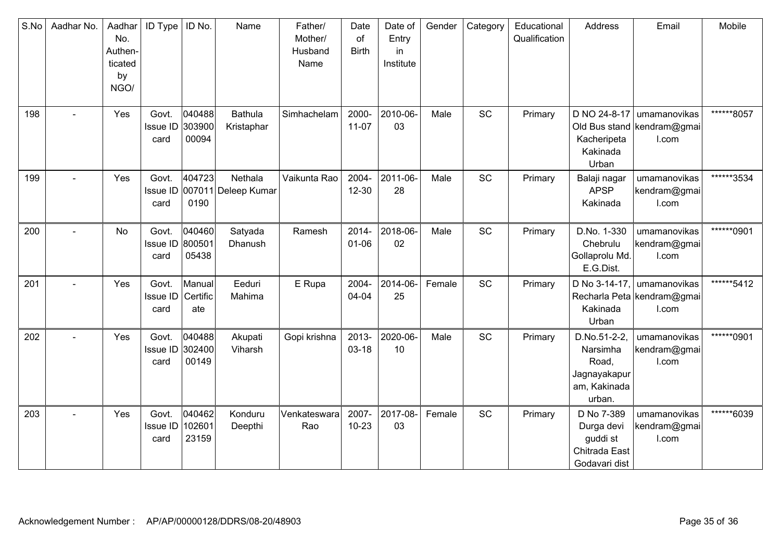| S.No | Aadhar No.     | Aadhar<br>No.<br>Authen-<br>ticated<br>by<br>NGO/ | <b>ID Type</b>                   | ID No.                    | Name                                    | Father/<br>Mother/<br>Husband<br>Name | Date<br>of<br><b>Birth</b> | Date of<br>Entry<br>in<br>Institute | Gender | Category  | Educational<br>Qualification | Address                                                                     | Email                                                 | Mobile      |
|------|----------------|---------------------------------------------------|----------------------------------|---------------------------|-----------------------------------------|---------------------------------------|----------------------------|-------------------------------------|--------|-----------|------------------------------|-----------------------------------------------------------------------------|-------------------------------------------------------|-------------|
| 198  |                | Yes                                               | Govt.<br>Issue ID<br>card        | 040488<br>303900<br>00094 | Bathula<br>Kristaphar                   | Simhachelam                           | 2000-<br>$11-07$           | 2010-06-<br>03                      | Male   | SC        | Primary                      | D NO 24-8-17<br>Kacheripeta<br>Kakinada<br>Urban                            | umamanovikas<br>Old Bus stand   kendram@gmai<br>I.com | ******8057  |
| 199  | $\overline{a}$ | Yes                                               | Govt.<br>card                    | 404723<br>0190            | Nethala<br>Issue ID 007011 Deleep Kumar | Vaikunta Rao                          | 2004-<br>$12 - 30$         | 2011-06-<br>28                      | Male   | SC        | Primary                      | Balaji nagar<br><b>APSP</b><br>Kakinada                                     | umamanovikas<br>kendram@gmai<br>I.com                 | ******3534  |
| 200  |                | <b>No</b>                                         | Govt.<br>Issue ID<br>card        | 040460<br>800501<br>05438 | Satyada<br>Dhanush                      | Ramesh                                | 2014-<br>$01 - 06$         | 2018-06-<br>02                      | Male   | SC        | Primary                      | D.No. 1-330<br>Chebrulu<br>Gollaprolu Md.<br>E.G.Dist.                      | umamanovikas<br>kendram@gmai<br>I.com                 | *******0901 |
| 201  |                | Yes                                               | Govt.<br><b>Issue ID</b><br>card | Manual<br>Certific<br>ate | Eeduri<br>Mahima                        | E Rupa                                | 2004-<br>04-04             | 2014-06-<br>25                      | Female | SC        | Primary                      | D No 3-14-17,<br>Kakinada<br>Urban                                          | umamanovikas<br>Recharla Peta kendram@gmai<br>I.com   | ******5412  |
| 202  |                | Yes                                               | Govt.<br>Issue ID<br>card        | 040488<br>302400<br>00149 | Akupati<br>Viharsh                      | Gopi krishna                          | 2013-<br>$03 - 18$         | 2020-06-<br>10                      | Male   | SC        | Primary                      | D.No.51-2-2,<br>Narsimha<br>Road,<br>Jagnayakapur<br>am, Kakinada<br>urban. | umamanovikas<br>kendram@gmai<br>I.com                 | ******0901  |
| 203  | $\overline{a}$ | Yes                                               | Govt.<br><b>Issue ID</b><br>card | 040462<br>102601<br>23159 | Konduru<br>Deepthi                      | Venkateswara<br>Rao                   | 2007-<br>$10 - 23$         | 2017-08-<br>03                      | Female | <b>SC</b> | Primary                      | D No 7-389<br>Durga devi<br>guddi st<br>Chitrada East<br>Godavari dist      | umamanovikas<br>kendram@gmai<br>I.com                 | ******6039  |